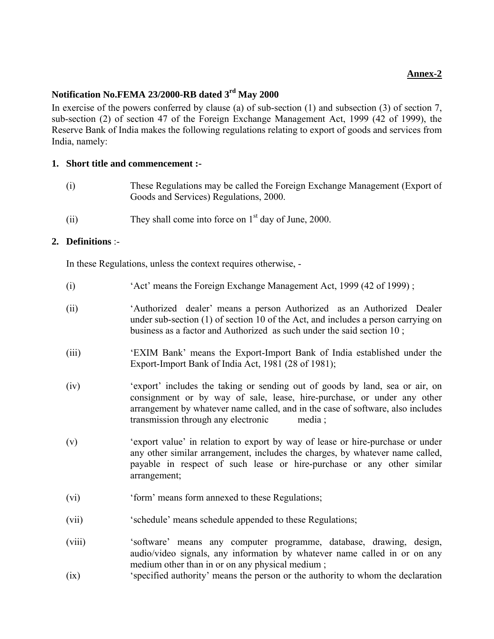## **Annex-2**

# **Notification No.FEMA 23/2000-RB dated 3rd May 2000**

In exercise of the powers conferred by clause (a) of sub-section (1) and subsection (3) of section 7, sub-section (2) of section 47 of the Foreign Exchange Management Act, 1999 (42 of 1999), the Reserve Bank of India makes the following regulations relating to export of goods and services from India, namely:

## **1. Short title and commencement :-**

- (i) These Regulations may be called the Foreign Exchange Management (Export of Goods and Services) Regulations, 2000.
- (ii) They shall come into force on  $1<sup>st</sup>$  day of June, 2000.

## **2. Definitions** :-

In these Regulations, unless the context requires otherwise, -

- (i) 'Act' means the Foreign Exchange Management Act, 1999 (42 of 1999) ;
- (ii) 'Authorized dealer' means a person Authorized as an Authorized Dealer under sub-section (1) of section 10 of the Act, and includes a person carrying on business as a factor and Authorized as such under the said section 10 ;
- (iii) 'EXIM Bank' means the Export-Import Bank of India established under the Export-Import Bank of India Act, 1981 (28 of 1981);
- (iv) 'export' includes the taking or sending out of goods by land, sea or air, on consignment or by way of sale, lease, hire-purchase, or under any other arrangement by whatever name called, and in the case of software, also includes transmission through any electronic media ;
- (v) 'export value' in relation to export by way of lease or hire-purchase or under any other similar arrangement, includes the charges, by whatever name called, payable in respect of such lease or hire-purchase or any other similar arrangement;
- (vi) 'form' means form annexed to these Regulations;
- (vii) 'schedule' means schedule appended to these Regulations;
- (viii) 'software' means any computer programme, database, drawing, design, audio/video signals, any information by whatever name called in or on any medium other than in or on any physical medium;
- (ix) 'specified authority' means the person or the authority to whom the declaration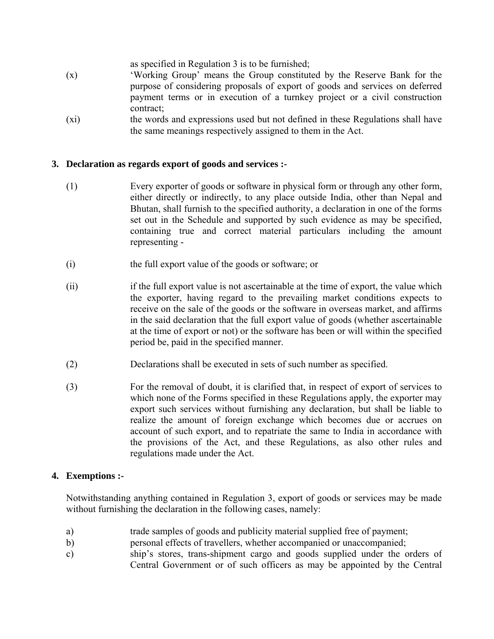as specified in Regulation 3 is to be furnished;

- (x) 'Working Group' means the Group constituted by the Reserve Bank for the purpose of considering proposals of export of goods and services on deferred payment terms or in execution of a turnkey project or a civil construction contract;
- (xi) the words and expressions used but not defined in these Regulations shall have the same meanings respectively assigned to them in the Act.

# **3. Declaration as regards export of goods and services :-**

- (1) Every exporter of goods or software in physical form or through any other form, either directly or indirectly, to any place outside India, other than Nepal and Bhutan, shall furnish to the specified authority, a declaration in one of the forms set out in the Schedule and supported by such evidence as may be specified, containing true and correct material particulars including the amount representing -
- (i) the full export value of the goods or software; or
- (ii) if the full export value is not ascertainable at the time of export, the value which the exporter, having regard to the prevailing market conditions expects to receive on the sale of the goods or the software in overseas market, and affirms in the said declaration that the full export value of goods (whether ascertainable at the time of export or not) or the software has been or will within the specified period be, paid in the specified manner.
- (2) Declarations shall be executed in sets of such number as specified.
- (3) For the removal of doubt, it is clarified that, in respect of export of services to which none of the Forms specified in these Regulations apply, the exporter may export such services without furnishing any declaration, but shall be liable to realize the amount of foreign exchange which becomes due or accrues on account of such export, and to repatriate the same to India in accordance with the provisions of the Act, and these Regulations, as also other rules and regulations made under the Act.

# **4. Exemptions :-**

 Notwithstanding anything contained in Regulation 3, export of goods or services may be made without furnishing the declaration in the following cases, namely:

- a) trade samples of goods and publicity material supplied free of payment;
- b) personal effects of travellers, whether accompanied or unaccompanied;
- c) ship's stores, trans-shipment cargo and goods supplied under the orders of Central Government or of such officers as may be appointed by the Central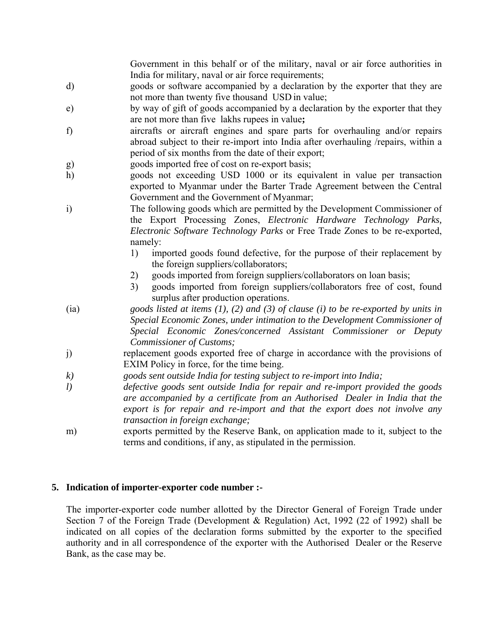Government in this behalf or of the military, naval or air force authorities in India for military, naval or air force requirements;

- d) goods or software accompanied by a declaration by the exporter that they are not more than twenty five thousand USD in value;
- e) by way of gift of goods accompanied by a declaration by the exporter that they are not more than five lakhs rupees in value**;**
- f) aircrafts or aircraft engines and spare parts for overhauling and/or repairs abroad subject to their re-import into India after overhauling /repairs, within a period of six months from the date of their export;
- g) goods imported free of cost on re-export basis;
- h) goods not exceeding USD 1000 or its equivalent in value per transaction exported to Myanmar under the Barter Trade Agreement between the Central Government and the Government of Myanmar;
- i) The following goods which are permitted by the Development Commissioner of the Export Processing Zones, *Electronic Hardware Technology Parks, Electronic Software Technology Parks* or Free Trade Zones to be re-exported, namely:
	- 1) imported goods found defective, for the purpose of their replacement by the foreign suppliers/collaborators;
	- 2) goods imported from foreign suppliers/collaborators on loan basis;
	- 3) goods imported from foreign suppliers/collaborators free of cost, found surplus after production operations.
- (ia) *goods listed at items (1), (2) and (3) of clause (i) to be re-exported by units in Special Economic Zones, under intimation to the Development Commissioner of Special Economic Zones/concerned Assistant Commissioner or Deputy Commissioner of Customs;*
- j) replacement goods exported free of charge in accordance with the provisions of EXIM Policy in force, for the time being.
- *k) goods sent outside India for testing subject to re-import into India;*
- *l) defective goods sent outside India for repair and re-import provided the goods are accompanied by a certificate from an Authorised Dealer in India that the export is for repair and re-import and that the export does not involve any transaction in foreign exchange;*
- m) exports permitted by the Reserve Bank, on application made to it, subject to the terms and conditions, if any, as stipulated in the permission.

# **5. Indication of importer-exporter code number :-**

 The importer-exporter code number allotted by the Director General of Foreign Trade under Section 7 of the Foreign Trade (Development & Regulation) Act, 1992 (22 of 1992) shall be indicated on all copies of the declaration forms submitted by the exporter to the specified authority and in all correspondence of the exporter with the Authorised Dealer or the Reserve Bank, as the case may be.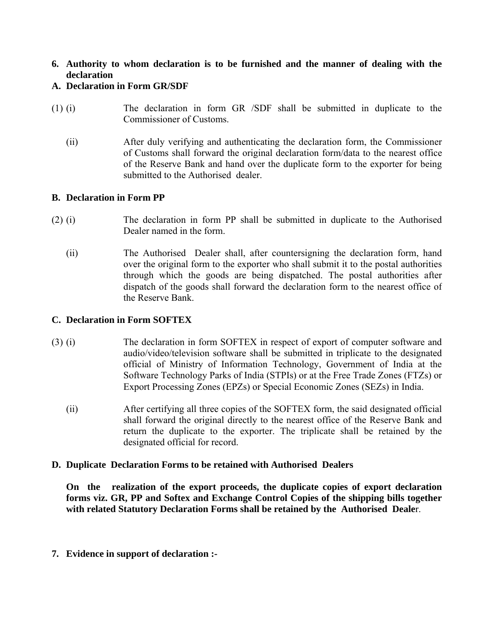**6. Authority to whom declaration is to be furnished and the manner of dealing with the declaration** 

# **A. Declaration in Form GR/SDF**

- (1) (i) The declaration in form GR /SDF shall be submitted in duplicate to the Commissioner of Customs.
	- (ii) After duly verifying and authenticating the declaration form, the Commissioner of Customs shall forward the original declaration form/data to the nearest office of the Reserve Bank and hand over the duplicate form to the exporter for being submitted to the Authorised dealer.

## **B. Declaration in Form PP**

- (2) (i) The declaration in form PP shall be submitted in duplicate to the Authorised Dealer named in the form.
	- (ii) The Authorised Dealer shall, after countersigning the declaration form, hand over the original form to the exporter who shall submit it to the postal authorities through which the goods are being dispatched. The postal authorities after dispatch of the goods shall forward the declaration form to the nearest office of the Reserve Bank.

## **C. Declaration in Form SOFTEX**

- (3) (i) The declaration in form SOFTEX in respect of export of computer software and audio/video/television software shall be submitted in triplicate to the designated official of Ministry of Information Technology, Government of India at the Software Technology Parks of India (STPIs) or at the Free Trade Zones (FTZs) or Export Processing Zones (EPZs) or Special Economic Zones (SEZs) in India.
	- (ii) After certifying all three copies of the SOFTEX form, the said designated official shall forward the original directly to the nearest office of the Reserve Bank and return the duplicate to the exporter. The triplicate shall be retained by the designated official for record.

## **D. Duplicate Declaration Forms to be retained with Authorised Dealers**

 **On the realization of the export proceeds, the duplicate copies of export declaration forms viz. GR, PP and Softex and Exchange Control Copies of the shipping bills together with related Statutory Declaration Forms shall be retained by the Authorised Deale**r.

**7. Evidence in support of declaration :-**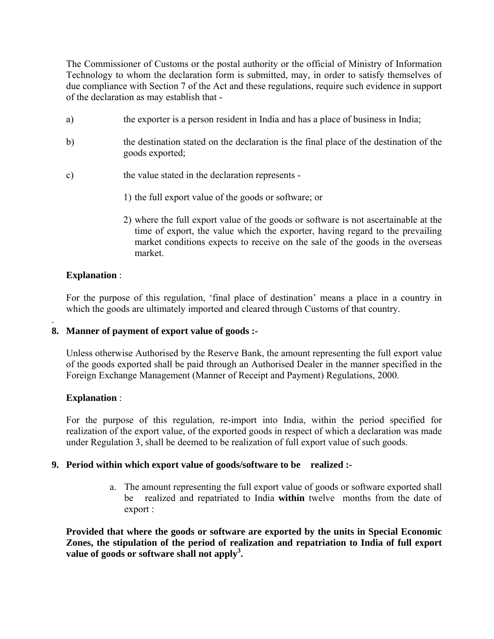The Commissioner of Customs or the postal authority or the official of Ministry of Information Technology to whom the declaration form is submitted, may, in order to satisfy themselves of due compliance with Section 7 of the Act and these regulations, require such evidence in support of the declaration as may establish that -

- a) the exporter is a person resident in India and has a place of business in India;
- b) the destination stated on the declaration is the final place of the destination of the goods exported;
- c) the value stated in the declaration represents
	- 1) the full export value of the goods or software; or
	- 2) where the full export value of the goods or software is not ascertainable at the time of export, the value which the exporter, having regard to the prevailing market conditions expects to receive on the sale of the goods in the overseas market.

# **Explanation** :

.

 For the purpose of this regulation, 'final place of destination' means a place in a country in which the goods are ultimately imported and cleared through Customs of that country.

# **8. Manner of payment of export value of goods :-**

 Unless otherwise Authorised by the Reserve Bank, the amount representing the full export value of the goods exported shall be paid through an Authorised Dealer in the manner specified in the Foreign Exchange Management (Manner of Receipt and Payment) Regulations, 2000.

# **Explanation** :

 For the purpose of this regulation, re-import into India, within the period specified for realization of the export value, of the exported goods in respect of which a declaration was made under Regulation 3, shall be deemed to be realization of full export value of such goods.

# **9. Period within which export value of goods/software to be realized :-**

 a. The amount representing the full export value of goods or software exported shall be realized and repatriated to India **within** twelve months from the date of export :

**Provided that where the goods or software are exported by the units in Special Economic Zones, the stipulation of the period of realization and repatriation to India of full export** value of goods or software shall not apply<sup>3</sup>.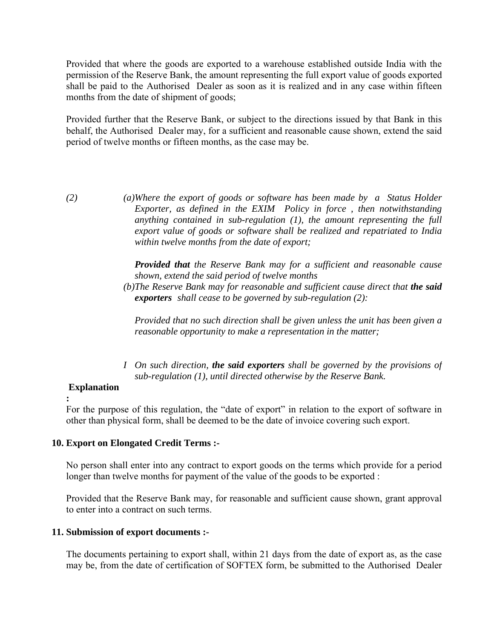Provided that where the goods are exported to a warehouse established outside India with the permission of the Reserve Bank, the amount representing the full export value of goods exported shall be paid to the Authorised Dealer as soon as it is realized and in any case within fifteen months from the date of shipment of goods;

 Provided further that the Reserve Bank, or subject to the directions issued by that Bank in this behalf, the Authorised Dealer may, for a sufficient and reasonable cause shown, extend the said period of twelve months or fifteen months, as the case may be.

*(2) (a) Where the export of goods or software has been made by a Status Holder Exporter, as defined in the EXIM Policy in force , then notwithstanding anything contained in sub-regulation (1), the amount representing the full export value of goods or software shall be realized and repatriated to India within twelve months from the date of export;*

> *Provided that the Reserve Bank may for a sufficient and reasonable cause shown, extend the said period of twelve months*

 *(b)The Reserve Bank may for reasonable and sufficient cause direct that the said exporters shall cease to be governed by sub-regulation (2):*

*Provided that no such direction shall be given unless the unit has been given a reasonable opportunity to make a representation in the matter;* 

 *I On such direction, the said exporters shall be governed by the provisions of sub-regulation (1), until directed otherwise by the Reserve Bank.*

## **Explanation**

**:**

For the purpose of this regulation, the "date of export" in relation to the export of software in other than physical form, shall be deemed to be the date of invoice covering such export.

## **10. Export on Elongated Credit Terms :-**

 No person shall enter into any contract to export goods on the terms which provide for a period longer than twelve months for payment of the value of the goods to be exported :

 Provided that the Reserve Bank may, for reasonable and sufficient cause shown, grant approval to enter into a contract on such terms.

## **11. Submission of export documents :-**

 The documents pertaining to export shall, within 21 days from the date of export as, as the case may be, from the date of certification of SOFTEX form, be submitted to the Authorised Dealer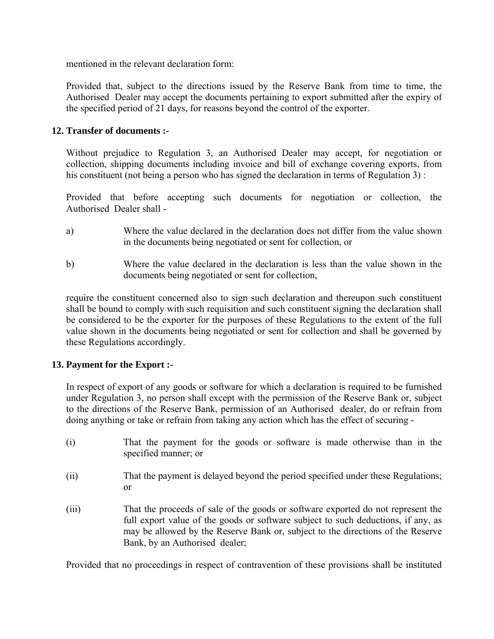mentioned in the relevant declaration form:

 Provided that, subject to the directions issued by the Reserve Bank from time to time, the Authorised Dealer may accept the documents pertaining to export submitted after the expiry of the specified period of 21 days, for reasons beyond the control of the exporter.

# **12. Transfer of documents :-**

 Without prejudice to Regulation 3, an Authorised Dealer may accept, for negotiation or collection, shipping documents including invoice and bill of exchange covering exports, from his constituent (not being a person who has signed the declaration in terms of Regulation 3):

 Provided that before accepting such documents for negotiation or collection, the Authorised Dealer shall -

- a) Where the value declared in the declaration does not differ from the value shown in the documents being negotiated or sent for collection, or
- b) Where the value declared in the declaration is less than the value shown in the documents being negotiated or sent for collection,

 require the constituent concerned also to sign such declaration and thereupon such constituent shall be bound to comply with such requisition and such constituent signing the declaration shall be considered to be the exporter for the purposes of these Regulations to the extent of the full value shown in the documents being negotiated or sent for collection and shall be governed by these Regulations accordingly.

# **13. Payment for the Export :-**

 In respect of export of any goods or software for which a declaration is required to be furnished under Regulation 3, no person shall except with the permission of the Reserve Bank or, subject to the directions of the Reserve Bank, permission of an Authorised dealer, do or refrain from doing anything or take or refrain from taking any action which has the effect of securing -

- (i) That the payment for the goods or software is made otherwise than in the specified manner; or
- (ii) That the payment is delayed beyond the period specified under these Regulations; or
- (iii) That the proceeds of sale of the goods or software exported do not represent the full export value of the goods or software subject to such deductions, if any, as may be allowed by the Reserve Bank or, subject to the directions of the Reserve Bank, by an Authorised dealer;

Provided that no proceedings in respect of contravention of these provisions shall be instituted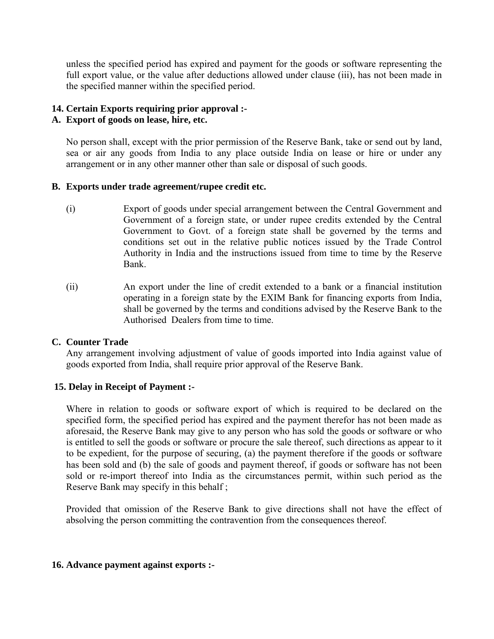unless the specified period has expired and payment for the goods or software representing the full export value, or the value after deductions allowed under clause (iii), has not been made in the specified manner within the specified period.

# **14. Certain Exports requiring prior approval :-**

## **A. Export of goods on lease, hire, etc.**

 No person shall, except with the prior permission of the Reserve Bank, take or send out by land, sea or air any goods from India to any place outside India on lease or hire or under any arrangement or in any other manner other than sale or disposal of such goods.

## **B. Exports under trade agreement/rupee credit etc.**

- (i) Export of goods under special arrangement between the Central Government and Government of a foreign state, or under rupee credits extended by the Central Government to Govt. of a foreign state shall be governed by the terms and conditions set out in the relative public notices issued by the Trade Control Authority in India and the instructions issued from time to time by the Reserve Bank.
- (ii) An export under the line of credit extended to a bank or a financial institution operating in a foreign state by the EXIM Bank for financing exports from India, shall be governed by the terms and conditions advised by the Reserve Bank to the Authorised Dealers from time to time.

## **C. Counter Trade**

 Any arrangement involving adjustment of value of goods imported into India against value of goods exported from India, shall require prior approval of the Reserve Bank.

# **15. Delay in Receipt of Payment :-**

 Where in relation to goods or software export of which is required to be declared on the specified form, the specified period has expired and the payment therefor has not been made as aforesaid, the Reserve Bank may give to any person who has sold the goods or software or who is entitled to sell the goods or software or procure the sale thereof, such directions as appear to it to be expedient, for the purpose of securing, (a) the payment therefore if the goods or software has been sold and (b) the sale of goods and payment thereof, if goods or software has not been sold or re-import thereof into India as the circumstances permit, within such period as the Reserve Bank may specify in this behalf ;

 Provided that omission of the Reserve Bank to give directions shall not have the effect of absolving the person committing the contravention from the consequences thereof.

## **16. Advance payment against exports :-**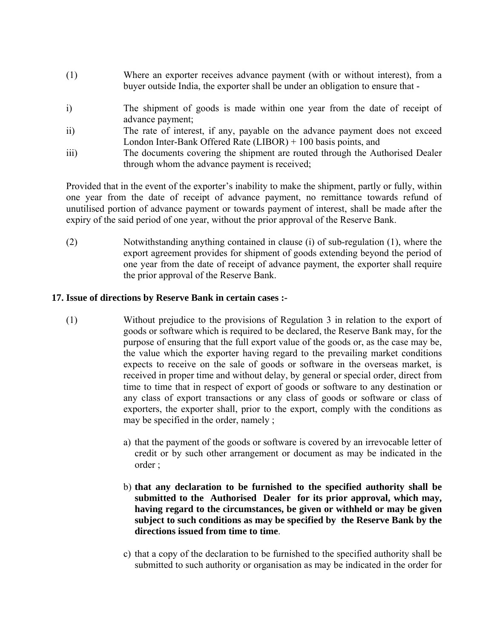- (1) Where an exporter receives advance payment (with or without interest), from a buyer outside India, the exporter shall be under an obligation to ensure that -
- i) The shipment of goods is made within one year from the date of receipt of advance payment;
- ii) The rate of interest, if any, payable on the advance payment does not exceed London Inter-Bank Offered Rate (LIBOR) + 100 basis points, and
- iii) The documents covering the shipment are routed through the Authorised Dealer through whom the advance payment is received;

 Provided that in the event of the exporter's inability to make the shipment, partly or fully, within one year from the date of receipt of advance payment, no remittance towards refund of unutilised portion of advance payment or towards payment of interest, shall be made after the expiry of the said period of one year, without the prior approval of the Reserve Bank.

 (2) Notwithstanding anything contained in clause (i) of sub-regulation (1), where the export agreement provides for shipment of goods extending beyond the period of one year from the date of receipt of advance payment, the exporter shall require the prior approval of the Reserve Bank.

# **17. Issue of directions by Reserve Bank in certain cases :-**

- (1) Without prejudice to the provisions of Regulation 3 in relation to the export of goods or software which is required to be declared, the Reserve Bank may, for the purpose of ensuring that the full export value of the goods or, as the case may be, the value which the exporter having regard to the prevailing market conditions expects to receive on the sale of goods or software in the overseas market, is received in proper time and without delay, by general or special order, direct from time to time that in respect of export of goods or software to any destination or any class of export transactions or any class of goods or software or class of exporters, the exporter shall, prior to the export, comply with the conditions as may be specified in the order, namely ;
	- a) that the payment of the goods or software is covered by an irrevocable letter of credit or by such other arrangement or document as may be indicated in the order ;
	- b) **that any declaration to be furnished to the specified authority shall be submitted to the Authorised Dealer for its prior approval, which may, having regard to the circumstances, be given or withheld or may be given subject to such conditions as may be specified by the Reserve Bank by the directions issued from time to time**.
	- c) that a copy of the declaration to be furnished to the specified authority shall be submitted to such authority or organisation as may be indicated in the order for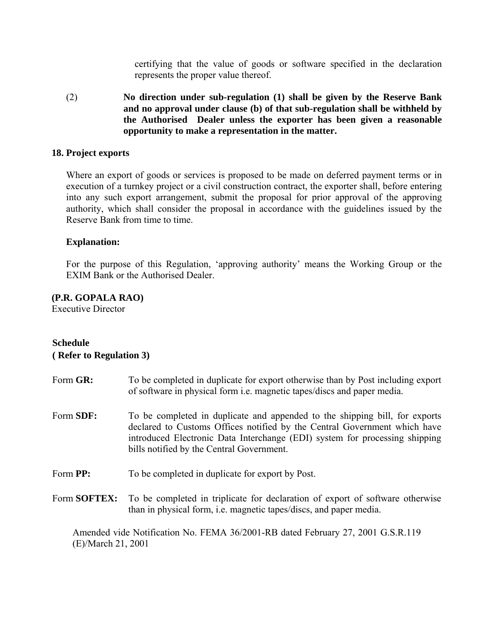certifying that the value of goods or software specified in the declaration represents the proper value thereof.

 (2) **No direction under sub-regulation (1) shall be given by the Reserve Bank and no approval under clause (b) of that sub-regulation shall be withheld by the Authorised Dealer unless the exporter has been given a reasonable opportunity to make a representation in the matter.** 

## **18. Project exports**

 Where an export of goods or services is proposed to be made on deferred payment terms or in execution of a turnkey project or a civil construction contract, the exporter shall, before entering into any such export arrangement, submit the proposal for prior approval of the approving authority, which shall consider the proposal in accordance with the guidelines issued by the Reserve Bank from time to time.

## **Explanation:**

 For the purpose of this Regulation, 'approving authority' means the Working Group or the EXIM Bank or the Authorised Dealer.

## **(P.R. GOPALA RAO)**

Executive Director

## **Schedule**

#### **( Refer to Regulation 3)**

- Form **GR:** To be completed in duplicate for export otherwise than by Post including export of software in physical form i.e. magnetic tapes/discs and paper media.
- Form **SDF:** To be completed in duplicate and appended to the shipping bill, for exports declared to Customs Offices notified by the Central Government which have introduced Electronic Data Interchange (EDI) system for processing shipping bills notified by the Central Government.
- Form **PP:** To be completed in duplicate for export by Post.
- Form **SOFTEX:** To be completed in triplicate for declaration of export of software otherwise than in physical form, i.e. magnetic tapes/discs, and paper media.

Amended vide Notification No. FEMA 36/2001-RB dated February 27, 2001 G.S.R.119 (E)/March 21, 2001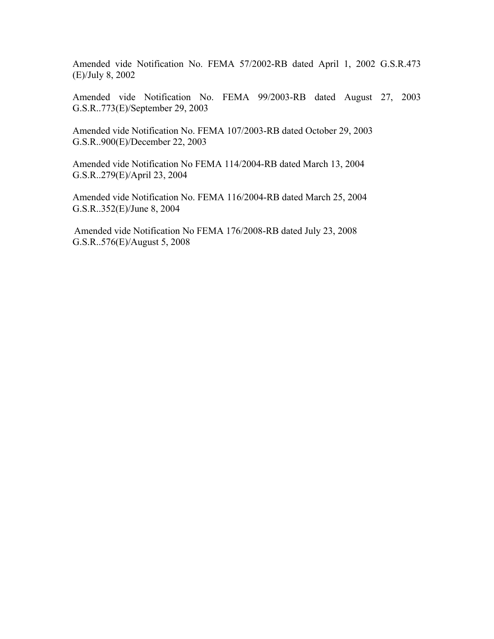Amended vide Notification No. FEMA 57/2002-RB dated April 1, 2002 G.S.R.473 (E)/July 8, 2002

Amended vide Notification No. FEMA 99/2003-RB dated August 27, 2003 G.S.R..773(E)/September 29, 2003

Amended vide Notification No. FEMA 107/2003-RB dated October 29, 2003 G.S.R..900(E)/December 22, 2003

Amended vide Notification No FEMA 114/2004-RB dated March 13, 2004 G.S.R..279(E)/April 23, 2004

Amended vide Notification No. FEMA 116/2004-RB dated March 25, 2004 G.S.R..352(E)/June 8, 2004

Amended vide Notification No FEMA 176/2008-RB dated July 23, 2008 G.S.R..576(E)/August 5, 2008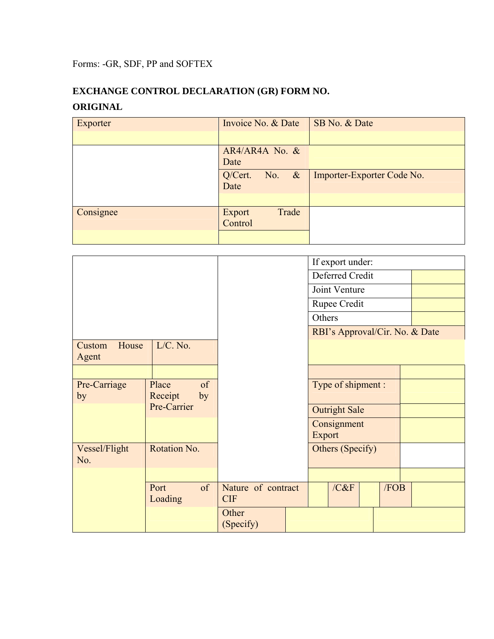Forms: -GR, SDF, PP and SOFTEX

# **EXCHANGE CONTROL DECLARATION (GR) FORM NO. ORIGINAL**

| Exporter  | Invoice No. & Date                 | SB No. & Date              |
|-----------|------------------------------------|----------------------------|
|           |                                    |                            |
|           | $AR4/AR4A$ No. &<br>Date           |                            |
|           | Q/Cert.<br>$\alpha$<br>No.<br>Date | Importer-Exporter Code No. |
|           |                                    |                            |
| Consignee | Trade<br>Export<br>Control         |                            |
|           |                                    |                            |

|                          |                       |                                  | If export under:     |      |      |                                |
|--------------------------|-----------------------|----------------------------------|----------------------|------|------|--------------------------------|
|                          |                       |                                  | Deferred Credit      |      |      |                                |
|                          |                       |                                  | Joint Venture        |      |      |                                |
|                          |                       |                                  | Rupee Credit         |      |      |                                |
|                          |                       |                                  | Others               |      |      |                                |
|                          |                       |                                  |                      |      |      | RBI's Approval/Cir. No. & Date |
| House<br>Custom<br>Agent | $L/C.$ No.            |                                  |                      |      |      |                                |
|                          |                       |                                  |                      |      |      |                                |
| Pre-Carriage             | of<br>Place           |                                  | Type of shipment :   |      |      |                                |
| by                       | Receipt<br>by         |                                  |                      |      |      |                                |
|                          | Pre-Carrier           |                                  | <b>Outright Sale</b> |      |      |                                |
|                          |                       |                                  | Consignment          |      |      |                                |
|                          |                       |                                  | Export               |      |      |                                |
| Vessel/Flight<br>No.     | Rotation No.          |                                  | Others (Specify)     |      |      |                                |
|                          |                       |                                  |                      |      |      |                                |
|                          | of<br>Port<br>Loading | Nature of contract<br><b>CIF</b> |                      | /C&F | /FOB |                                |
|                          |                       | Other<br>(Specify)               |                      |      |      |                                |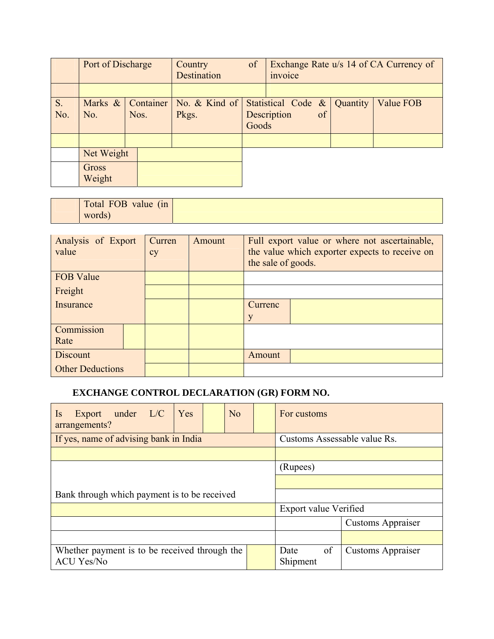|           | Port of Discharge      |                   | Country<br>Destination | of    | invoice                              |    |          | Exchange Rate u/s 14 of CA Currency of |
|-----------|------------------------|-------------------|------------------------|-------|--------------------------------------|----|----------|----------------------------------------|
|           |                        |                   |                        |       |                                      |    |          |                                        |
| S.<br>No. | Marks &<br>No.         | Container<br>Nos. | No. & Kind of<br>Pkgs. | Goods | Statistical Code $\&$<br>Description | of | Quantity | Value FOB                              |
|           |                        |                   |                        |       |                                      |    |          |                                        |
|           | Net Weight             |                   |                        |       |                                      |    |          |                                        |
|           | <b>Gross</b><br>Weight |                   |                        |       |                                      |    |          |                                        |

| $\lambda$<br>Total FOB value<br>(n) |  |
|-------------------------------------|--|
| words)                              |  |

| Analysis of Export<br>value | Curren<br>cy | Amount | Full export value or where not ascertainable,<br>the value which exporter expects to receive on<br>the sale of goods. |  |  |
|-----------------------------|--------------|--------|-----------------------------------------------------------------------------------------------------------------------|--|--|
| <b>FOB Value</b>            |              |        |                                                                                                                       |  |  |
| Freight                     |              |        |                                                                                                                       |  |  |
| Insurance                   |              |        | Currenc                                                                                                               |  |  |
|                             |              |        | y                                                                                                                     |  |  |
| Commission                  |              |        |                                                                                                                       |  |  |
| Rate                        |              |        |                                                                                                                       |  |  |
| Discount                    |              |        | Amount                                                                                                                |  |  |
| <b>Other Deductions</b>     |              |        |                                                                                                                       |  |  |

# **EXCHANGE CONTROL DECLARATION (GR) FORM NO.**

| Export under L/C<br>Yes<br>$\overline{1}$<br>arrangements?         | No                           |                          | For customs            |                          |
|--------------------------------------------------------------------|------------------------------|--------------------------|------------------------|--------------------------|
| If yes, name of advising bank in India                             | Customs Assessable value Rs. |                          |                        |                          |
|                                                                    |                              |                          |                        |                          |
|                                                                    | (Rupees)                     |                          |                        |                          |
|                                                                    |                              |                          |                        |                          |
| Bank through which payment is to be received                       |                              |                          |                        |                          |
|                                                                    | Export value Verified        |                          |                        |                          |
|                                                                    |                              | <b>Customs Appraiser</b> |                        |                          |
|                                                                    |                              |                          |                        |                          |
| Whether payment is to be received through the<br><b>ACU Yes/No</b> |                              |                          | of<br>Date<br>Shipment | <b>Customs Appraiser</b> |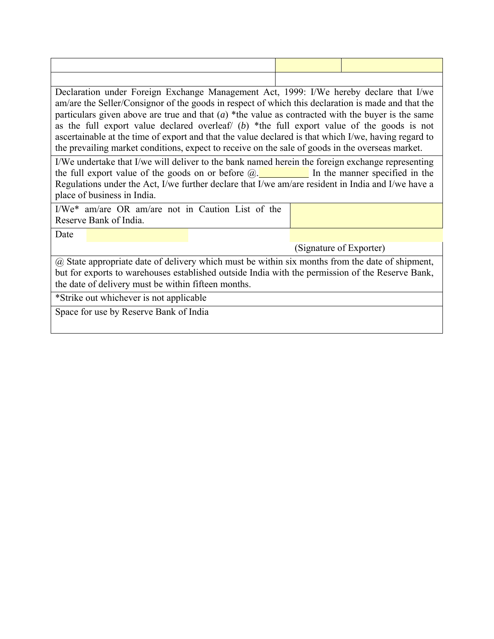Declaration under Foreign Exchange Management Act, 1999: I/We hereby declare that I/we am/are the Seller/Consignor of the goods in respect of which this declaration is made and that the particulars given above are true and that  $(a)$  \*the value as contracted with the buyer is the same as the full export value declared overleaf/ (*b*) \*the full export value of the goods is not ascertainable at the time of export and that the value declared is that which I/we, having regard to the prevailing market conditions, expect to receive on the sale of goods in the overseas market.

I/We undertake that I/we will deliver to the bank named herein the foreign exchange representing the full export value of the goods on or before  $\omega$ . In the manner specified in the Regulations under the Act, I/we further declare that I/we am/are resident in India and I/we have a place of business in India.

I/We\* am/are OR am/are not in Caution List of the Reserve Bank of India.

Date

(Signature of Exporter)

@ State appropriate date of delivery which must be within six months from the date of shipment, but for exports to warehouses established outside India with the permission of the Reserve Bank, the date of delivery must be within fifteen months.

\*Strike out whichever is not applicable

Space for use by Reserve Bank of India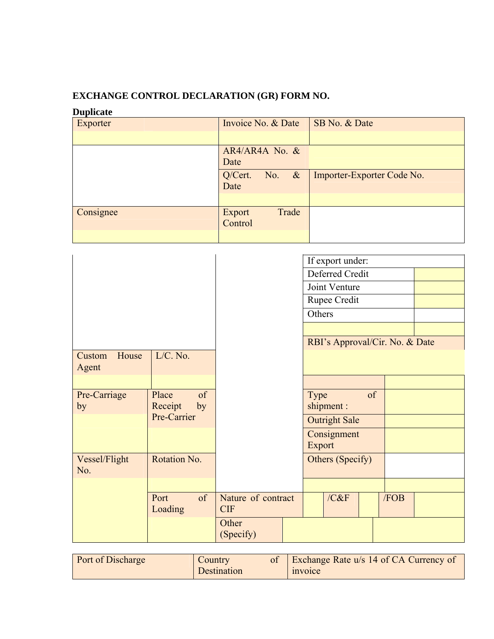# **EXCHANGE CONTROL DECLARATION (GR) FORM NO.**

# **Duplicate**

| Exporter  | Invoice No. & Date                 | SB No. & Date              |
|-----------|------------------------------------|----------------------------|
|           |                                    |                            |
|           | AR4/AR4A No. &<br>Date             |                            |
|           | Q/Cert.<br>$\alpha$<br>No.<br>Date | Importer-Exporter Code No. |
|           |                                    |                            |
| Consignee | Trade<br>Export<br>Control         |                            |
|           |                                    |                            |

|                          |                              |                                  | If export under:               |      |  |
|--------------------------|------------------------------|----------------------------------|--------------------------------|------|--|
|                          |                              |                                  | Deferred Credit                |      |  |
|                          |                              |                                  | Joint Venture                  |      |  |
|                          |                              |                                  | Rupee Credit                   |      |  |
|                          |                              |                                  | Others                         |      |  |
|                          |                              |                                  |                                |      |  |
|                          |                              |                                  | RBI's Approval/Cir. No. & Date |      |  |
| House<br>Custom<br>Agent | $L/C.$ No.                   |                                  |                                |      |  |
|                          |                              |                                  |                                |      |  |
| Pre-Carriage<br>by       | of<br>Place<br>Receipt<br>by |                                  | of<br>Type<br>shipment:        |      |  |
|                          | Pre-Carrier                  |                                  | <b>Outright Sale</b>           |      |  |
|                          |                              |                                  | Consignment<br>Export          |      |  |
| Vessel/Flight<br>No.     | Rotation No.                 |                                  | Others (Specify)               |      |  |
|                          |                              |                                  |                                |      |  |
|                          | of<br>Port<br>Loading        | Nature of contract<br><b>CIF</b> | /C&F                           | /FOB |  |
|                          |                              | Other<br>(Specify)               |                                |      |  |

| <b>Port of Discharge</b> | Country     | Exchange Rate u/s 14 of CA Currency of |
|--------------------------|-------------|----------------------------------------|
|                          | Destination | invoice                                |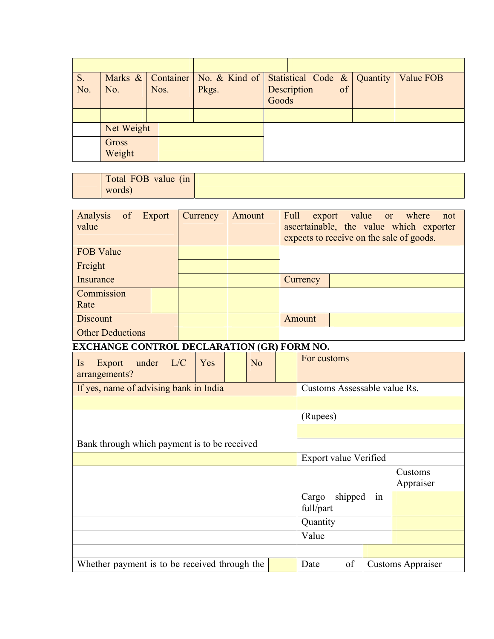| S.  |            |      | Marks $\&$ Container   No. $\&$ Kind of   Statistical Code $\&$   Quantity |             |    | Value FOB |
|-----|------------|------|----------------------------------------------------------------------------|-------------|----|-----------|
| No. | No.        | Nos. | Pkgs.                                                                      | Description | of |           |
|     |            |      |                                                                            | Goods       |    |           |
|     |            |      |                                                                            |             |    |           |
|     | Net Weight |      |                                                                            |             |    |           |
|     | Gross      |      |                                                                            |             |    |           |
|     | Weight     |      |                                                                            |             |    |           |

| $\lambda$<br>Total FOB<br>value<br>(m) |  |
|----------------------------------------|--|
| words)                                 |  |

| Analysis<br>of Export<br>value                    |                        | Currency |  | Amount | value<br>Full<br>export<br><b>or</b><br>ascertainable, the value which exporter<br>expects to receive on the sale of goods. |                                     |    |  | where<br>not             |
|---------------------------------------------------|------------------------|----------|--|--------|-----------------------------------------------------------------------------------------------------------------------------|-------------------------------------|----|--|--------------------------|
| <b>FOB Value</b>                                  |                        |          |  |        |                                                                                                                             |                                     |    |  |                          |
| Freight                                           |                        |          |  |        |                                                                                                                             |                                     |    |  |                          |
| Insurance                                         |                        |          |  |        |                                                                                                                             | Currency                            |    |  |                          |
| Commission<br>Rate                                |                        |          |  |        |                                                                                                                             |                                     |    |  |                          |
| <b>Discount</b>                                   |                        |          |  |        |                                                                                                                             | Amount                              |    |  |                          |
| <b>Other Deductions</b>                           |                        |          |  |        |                                                                                                                             |                                     |    |  |                          |
| <b>EXCHANGE CONTROL DECLARATION (GR) FORM NO.</b> |                        |          |  |        |                                                                                                                             |                                     |    |  |                          |
| Is<br>Export<br>arrangements?                     | under L/C<br>No<br>Yes |          |  |        | For customs                                                                                                                 |                                     |    |  |                          |
| If yes, name of advising bank in India            |                        |          |  |        | Customs Assessable value Rs.                                                                                                |                                     |    |  |                          |
|                                                   |                        |          |  |        |                                                                                                                             |                                     |    |  |                          |
|                                                   |                        |          |  |        |                                                                                                                             | (Rupees)                            |    |  |                          |
|                                                   |                        |          |  |        |                                                                                                                             |                                     |    |  |                          |
| Bank through which payment is to be received      |                        |          |  |        |                                                                                                                             |                                     |    |  |                          |
|                                                   |                        |          |  |        |                                                                                                                             | Export value Verified               |    |  |                          |
|                                                   |                        |          |  |        |                                                                                                                             |                                     |    |  | Customs<br>Appraiser     |
|                                                   |                        |          |  |        |                                                                                                                             | shipped<br>Cargo<br>in<br>full/part |    |  |                          |
|                                                   |                        |          |  |        | Quantity                                                                                                                    |                                     |    |  |                          |
|                                                   |                        |          |  |        |                                                                                                                             | Value                               |    |  |                          |
|                                                   |                        |          |  |        |                                                                                                                             |                                     |    |  |                          |
| Whether payment is to be received through the     |                        |          |  |        |                                                                                                                             | Date                                | of |  | <b>Customs Appraiser</b> |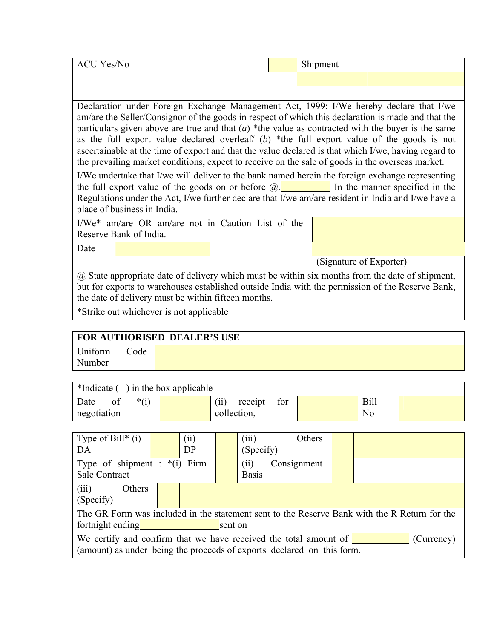| CITIT<br>Yes/No<br>ACU | $\sim$ 1 $\sim$<br>Shipment |  |
|------------------------|-----------------------------|--|
|                        |                             |  |

Declaration under Foreign Exchange Management Act, 1999: I/We hereby declare that I/we am/are the Seller/Consignor of the goods in respect of which this declaration is made and that the particulars given above are true and that  $(a)$  \*the value as contracted with the buyer is the same as the full export value declared overleaf/ (*b*) \*the full export value of the goods is not ascertainable at the time of export and that the value declared is that which I/we, having regard to the prevailing market conditions, expect to receive on the sale of goods in the overseas market.

I/We undertake that I/we will deliver to the bank named herein the foreign exchange representing the full export value of the goods on or before  $\omega$ . In the manner specified in the Regulations under the Act, I/we further declare that I/we am/are resident in India and I/we have a place of business in India.

I/We\* am/are OR am/are not in Caution List of the Reserve Bank of India.

Date

(Signature of Exporter)

@ State appropriate date of delivery which must be within six months from the date of shipment, but for exports to warehouses established outside India with the permission of the Reserve Bank, the date of delivery must be within fifteen months.

\*Strike out whichever is not applicable

# **FOR AUTHORISED DEALER'S USE**

Uniform Code Number

| *Indicate () in the box applicable |  |                 |     |  |             |  |  |
|------------------------------------|--|-----------------|-----|--|-------------|--|--|
| $*(i)$<br>Date<br>0İ               |  | receipt<br>(11) | for |  | <b>Bill</b> |  |  |
| negotiation                        |  | collection,     |     |  | No          |  |  |

| Type of Bill* $(i)$<br>DA                                                                                                                                |  | (ii)<br>DP |  | (iii)<br>(Specify)  |  | Others      |  |
|----------------------------------------------------------------------------------------------------------------------------------------------------------|--|------------|--|---------------------|--|-------------|--|
| Type of shipment : $*(i)$ Firm<br><b>Sale Contract</b>                                                                                                   |  |            |  | (i)<br><b>Basis</b> |  | Consignment |  |
| (iii)<br>Others<br>(Specify)                                                                                                                             |  |            |  |                     |  |             |  |
| The GR Form was included in the statement sent to the Reserve Bank with the R Return for the<br>fortnight ending<br>sent on                              |  |            |  |                     |  |             |  |
| We certify and confirm that we have received the total amount of<br>(Currency)<br>(amount) as under being the proceeds of exports declared on this form. |  |            |  |                     |  |             |  |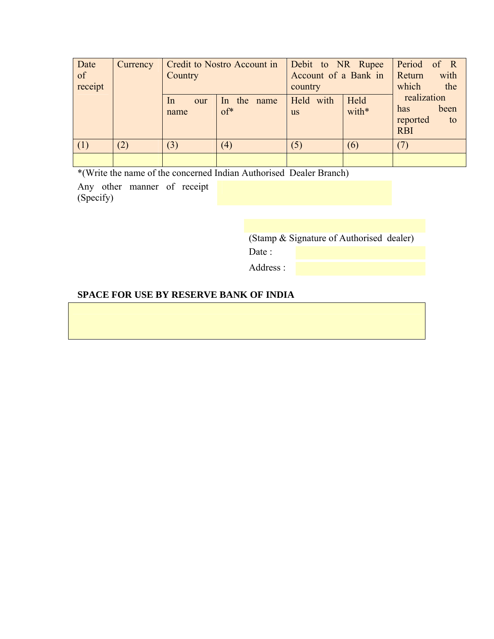| Date<br>of<br>receipt | Currency | Credit to Nostro Account in<br>Country |                       | Debit to NR Rupee<br>Account of a Bank in<br>country |               | Period of R<br>Return<br>which               | with<br>the |
|-----------------------|----------|----------------------------------------|-----------------------|------------------------------------------------------|---------------|----------------------------------------------|-------------|
|                       |          | $\ln$<br>our<br>name                   | In the name<br>$of^*$ | Held with<br><b>us</b>                               | Held<br>with* | realization<br>has<br>reported<br><b>RBI</b> | been<br>to  |
| (1)                   | (2)      | (3)                                    | (4)                   | (5)                                                  | (6)           | (7)                                          |             |
|                       |          |                                        |                       |                                                      |               |                                              |             |

\*(Write the name of the concerned Indian Authorised Dealer Branch)

Any other manner of receipt (Specify)

(Stamp & Signature of Authorised dealer)

Date:

Address :

# **SPACE FOR USE BY RESERVE BANK OF INDIA**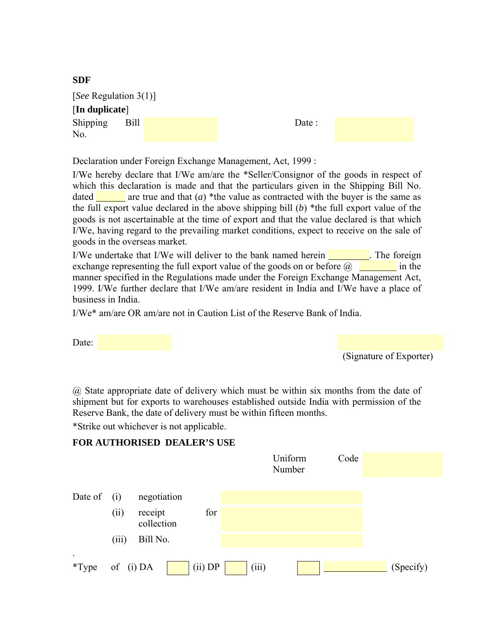| 5DF                   |      |  |  |
|-----------------------|------|--|--|
| [See Regulation 3(1)] |      |  |  |
| [In duplicate]        |      |  |  |
| Shipping<br>No.       | Bill |  |  |

Declaration under Foreign Exchange Management, Act, 1999 :

I/We hereby declare that I/We am/are the \*Seller/Consignor of the goods in respect of which this declaration is made and that the particulars given in the Shipping Bill No. dated **are true** and that  $(a)$  \*the value as contracted with the buyer is the same as the full export value declared in the above shipping bill (*b*) \*the full export value of the goods is not ascertainable at the time of export and that the value declared is that which I/We, having regard to the prevailing market conditions, expect to receive on the sale of goods in the overseas market.

Date :

I/We undertake that I/We will deliver to the bank named herein . The foreign exchange representing the full export value of the goods on or before  $\omega$  in the manner specified in the Regulations made under the Foreign Exchange Management Act, 1999. I/We further declare that I/We am/are resident in India and I/We have a place of business in India.

I/We\* am/are OR am/are not in Caution List of the Reserve Bank of India.

Date:

**SDF** 

(Signature of Exporter)

@ State appropriate date of delivery which must be within six months from the date of shipment but for exports to warehouses established outside India with permission of the Reserve Bank, the date of delivery must be within fifteen months.

\*Strike out whichever is not applicable.

# **FOR AUTHORISED DEALER'S USE**

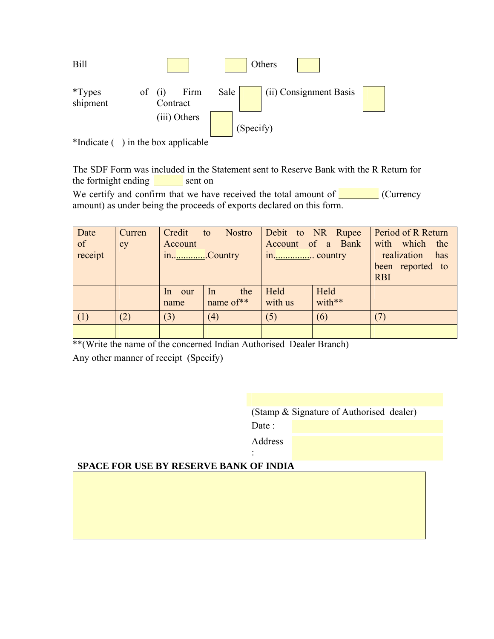

<sup>\*</sup>Indicate () in the box applicable

The SDF Form was included in the Statement sent to Reserve Bank with the R Return for the fortnight ending  $\frac{ }{ }$  sent on

We certify and confirm that we have received the total amount of  $\Box$  (Currency amount) as under being the proceeds of exports declared on this form.

| Date    | Curren | Credit to | Nostro       |         | Debit to NR Rupee | Period of R Return |
|---------|--------|-----------|--------------|---------|-------------------|--------------------|
| of      | cy     | Account   |              |         | Account of a Bank | with which the     |
| receipt |        | inCountry |              |         |                   | realization<br>has |
|         |        |           |              |         |                   | been reported to   |
|         |        |           |              |         |                   | <b>RBI</b>         |
|         |        | In our    | the<br>$\ln$ | Held    | Held              |                    |
|         |        | name      | name of**    | with us | with**            |                    |
| (1)     | (2)    | (3)       | (4)          | (5)     | (6)               |                    |
|         |        |           |              |         |                   |                    |

\*\*(Write the name of the concerned Indian Authorised Dealer Branch)

Any other manner of receipt (Specify)

(Stamp & Signature of Authorised dealer)

Date:

 Address :

# **SPACE FOR USE BY RESERVE BANK OF INDIA**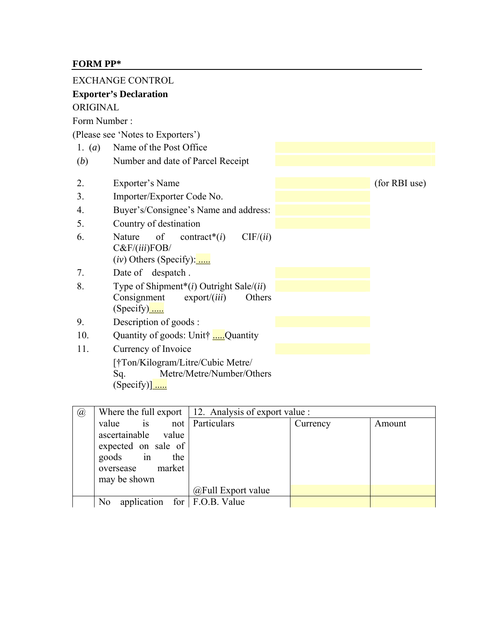# **FORM PP\***

|                  | <b>EXCHANGE CONTROL</b>                                                                                              |               |
|------------------|----------------------------------------------------------------------------------------------------------------------|---------------|
|                  | <b>Exporter's Declaration</b>                                                                                        |               |
| ORIGINAL         |                                                                                                                      |               |
| Form Number:     |                                                                                                                      |               |
|                  | (Please see 'Notes to Exporters')                                                                                    |               |
| 1. $(a)$         | Name of the Post Office                                                                                              |               |
| (b)              | Number and date of Parcel Receipt                                                                                    |               |
| 2.               | Exporter's Name                                                                                                      | (for RBI use) |
| 3.               | Importer/Exporter Code No.                                                                                           |               |
| $\overline{4}$ . | Buyer's/Consignee's Name and address:                                                                                |               |
| 5.               | Country of destination                                                                                               |               |
| 6.               | Nature<br>of<br>CIF/(ii)<br>contract <sup>*</sup> $(i)$<br>$C\&F/(iii)FOB/$<br>$(iv)$ Others (Specify):              |               |
| 7.               | Date of despatch.                                                                                                    |               |
| 8.               | Type of Shipment*( $i$ ) Outright Sale/( $ii$ )<br>Consignment<br>$\export/$ ( <i>iii</i> )<br>Others<br>$(Specify)$ |               |
| 9.               | Description of goods:                                                                                                |               |
| 10.              | Quantity of goods: Unit† Quantity                                                                                    |               |
| 11.              | Currency of Invoice                                                                                                  |               |
|                  | [†Ton/Kilogram/Litre/Cubic Metre/<br>Metre/Metre/Number/Others<br>Sq.<br>(Specify)]                                  |               |

| $\mathcal{a}$ |                                                  |                    | Where the full export $\vert$ 12. Analysis of export value : |        |  |  |
|---------------|--------------------------------------------------|--------------------|--------------------------------------------------------------|--------|--|--|
|               | is not Particulars<br>value                      |                    | Currency                                                     | Amount |  |  |
|               | ascertainable value                              |                    |                                                              |        |  |  |
|               | expected on sale of                              |                    |                                                              |        |  |  |
|               | goods in<br>the                                  |                    |                                                              |        |  |  |
|               | oversease market                                 |                    |                                                              |        |  |  |
|               | may be shown                                     |                    |                                                              |        |  |  |
|               |                                                  | @Full Export value |                                                              |        |  |  |
|               | application for $F.O.B.$ Value<br>N <sub>0</sub> |                    |                                                              |        |  |  |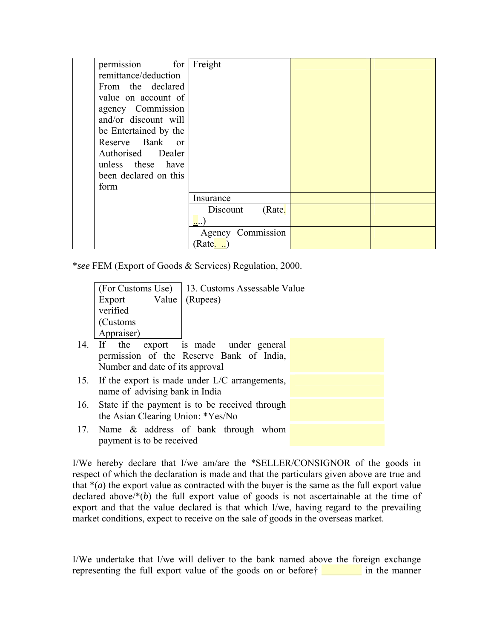| permission for        | Freight            |  |
|-----------------------|--------------------|--|
| remittance/deduction  |                    |  |
| From the declared     |                    |  |
| value on account of   |                    |  |
| agency Commission     |                    |  |
| and/or discount will  |                    |  |
| be Entertained by the |                    |  |
| Reserve Bank or       |                    |  |
| Authorised Dealer     |                    |  |
| unless these have     |                    |  |
| been declared on this |                    |  |
| form                  |                    |  |
|                       | Insurance          |  |
|                       | (Rate.<br>Discount |  |
|                       |                    |  |
|                       | Agency Commission  |  |
|                       | (Rate. )           |  |

\**see* FEM (Export of Goods & Services) Regulation, 2000.

|                                 | (For Customs Use)   13. Customs Assessable Value |  |  |  |  |
|---------------------------------|--------------------------------------------------|--|--|--|--|
| Export Value (Rupees)           |                                                  |  |  |  |  |
| verified                        |                                                  |  |  |  |  |
| (Customs                        |                                                  |  |  |  |  |
| Appraiser)                      |                                                  |  |  |  |  |
|                                 | 14. If the export is made under general          |  |  |  |  |
|                                 | permission of the Reserve Bank of India,         |  |  |  |  |
| Number and date of its approval |                                                  |  |  |  |  |

- 15. If the export is made under L/C arrangements, name of advising bank in India
- 16. State if the payment is to be received through the Asian Clearing Union: \*Yes/No
- 17. Name & address of bank through whom payment is to be received

I/We hereby declare that I/we am/are the \*SELLER/CONSIGNOR of the goods in respect of which the declaration is made and that the particulars given above are true and that  $*(a)$  the export value as contracted with the buyer is the same as the full export value declared above/\*(*b*) the full export value of goods is not ascertainable at the time of export and that the value declared is that which I/we, having regard to the prevailing market conditions, expect to receive on the sale of goods in the overseas market.

I/We undertake that I/we will deliver to the bank named above the foreign exchange representing the full export value of the goods on or before  $\frac{1}{\sqrt{1-\frac{1}{\sqrt{1-\frac{1}{\sqrt{1-\frac{1}{\sqrt{1-\frac{1}{\sqrt{1-\frac{1}{\sqrt{1-\frac{1}{\sqrt{1-\frac{1}{\sqrt{1-\frac{1}{\sqrt{1-\frac{1}{\sqrt{1-\frac{1}{\sqrt{1-\frac{1}{\sqrt{1-\frac{1}{\sqrt{1-\frac{1}{\sqrt{1-\frac{1}{\sqrt{1-\frac{1}{\sqrt{1-\frac{1}{\sqrt{1-\frac{1}{\$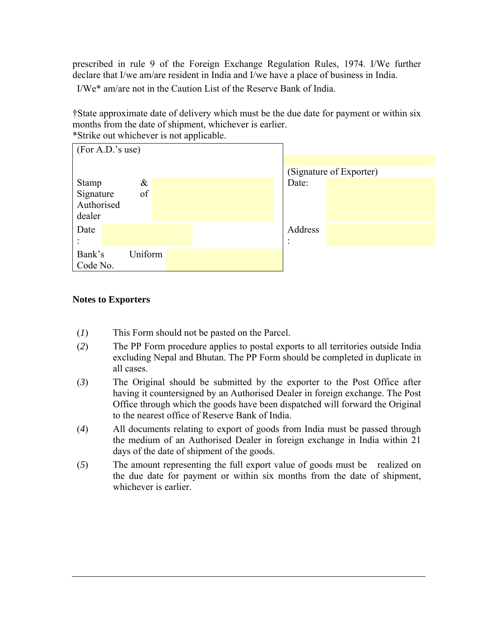prescribed in rule 9 of the Foreign Exchange Regulation Rules, 1974. I/We further declare that I/we am/are resident in India and I/we have a place of business in India.

I/We\* am/are not in the Caution List of the Reserve Bank of India.

†State approximate date of delivery which must be the due date for payment or within six months from the date of shipment, whichever is earlier. \*Strike out whichever is not applicable.

| (For A.D.'s use) |         |  |           |                         |
|------------------|---------|--|-----------|-------------------------|
|                  |         |  |           |                         |
|                  |         |  |           | (Signature of Exporter) |
| <b>Stamp</b>     | $\&$    |  | Date:     |                         |
| Signature        | of      |  |           |                         |
| Authorised       |         |  |           |                         |
| dealer           |         |  |           |                         |
| Date             |         |  | Address   |                         |
|                  |         |  | $\bullet$ |                         |
| Bank's           | Uniform |  |           |                         |
| Code No.         |         |  |           |                         |

## **Notes to Exporters**

- (*1*) This Form should not be pasted on the Parcel.
- (*2*) The PP Form procedure applies to postal exports to all territories outside India excluding Nepal and Bhutan. The PP Form should be completed in duplicate in all cases.
- (*3*) The Original should be submitted by the exporter to the Post Office after having it countersigned by an Authorised Dealer in foreign exchange. The Post Office through which the goods have been dispatched will forward the Original to the nearest office of Reserve Bank of India.
- (*4*) All documents relating to export of goods from India must be passed through the medium of an Authorised Dealer in foreign exchange in India within 21 days of the date of shipment of the goods.
- (*5*) The amount representing the full export value of goods must be realized on the due date for payment or within six months from the date of shipment, whichever is earlier.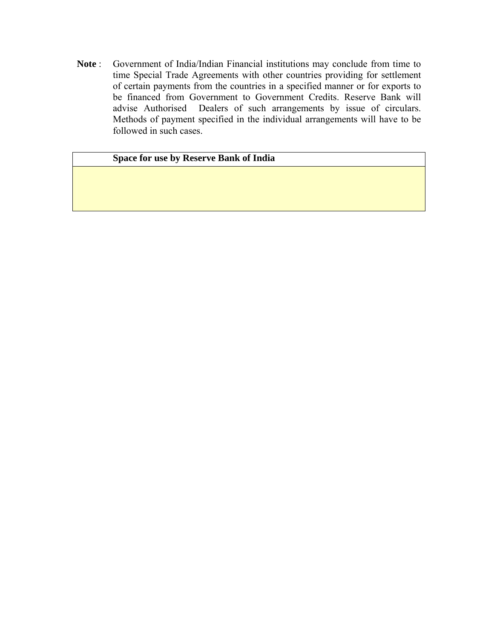**Note** : Government of India/Indian Financial institutions may conclude from time to time Special Trade Agreements with other countries providing for settlement of certain payments from the countries in a specified manner or for exports to be financed from Government to Government Credits. Reserve Bank will advise Authorised Dealers of such arrangements by issue of circulars. Methods of payment specified in the individual arrangements will have to be followed in such cases.

# **Space for use by Reserve Bank of India**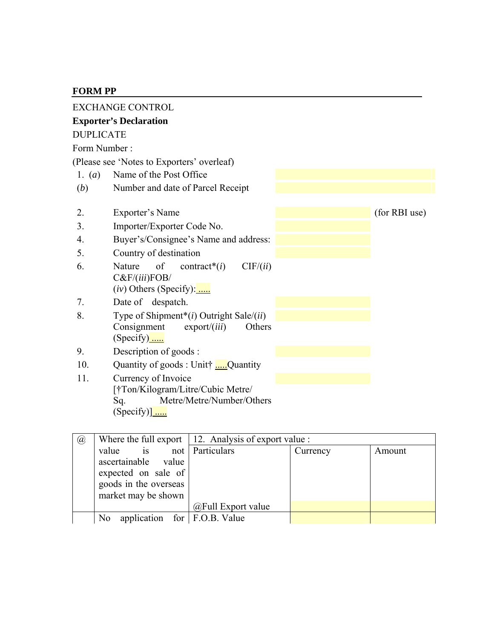# **FORM PP**

|                  | <b>EXCHANGE CONTROL</b>                                           |               |
|------------------|-------------------------------------------------------------------|---------------|
|                  | <b>Exporter's Declaration</b>                                     |               |
| <b>DUPLICATE</b> |                                                                   |               |
| Form Number:     |                                                                   |               |
|                  | (Please see 'Notes to Exporters' overleaf)                        |               |
| 1. $(a)$         | Name of the Post Office                                           |               |
| (b)              | Number and date of Parcel Receipt                                 |               |
|                  |                                                                   |               |
| 2.               | Exporter's Name                                                   | (for RBI use) |
| 3.               | Importer/Exporter Code No.                                        |               |
| 4.               | Buyer's/Consignee's Name and address:                             |               |
| 5.               | Country of destination                                            |               |
| 6.               | of<br>Nature<br>contract <sup>*</sup> $(i)$<br>CIF/(ii)           |               |
|                  | C&F/(iii)FOB/<br>$(iv)$ Others (Specify): $\frac{1}{\cdots}$      |               |
| 7.               | Date of despatch.                                                 |               |
| 8.               | Type of Shipment <sup>*</sup> ( $i$ ) Outright Sale/( $ii$ )      |               |
|                  | Consignment<br>$\export/$ ( <i>iii</i> )<br>Others<br>$(Specify)$ |               |
| 9.               | Description of goods :                                            |               |
| 10.              | Quantity of goods : Unit† Quantity                                |               |
| 11.              | Currency of Invoice                                               |               |
|                  | [†Ton/Kilogram/Litre/Cubic Metre/                                 |               |
|                  | Metre/Metre/Number/Others<br>Sq.                                  |               |
|                  | (Specify)] $\frac{1}{\ldots}$                                     |               |

| $\circleda$ |                                                                                                                         | Where the full export $\vert$ 12. Analysis of export value : |          |        |
|-------------|-------------------------------------------------------------------------------------------------------------------------|--------------------------------------------------------------|----------|--------|
|             | value<br>$\frac{1}{1}$ is<br>ascertainable value<br>expected on sale of<br>goods in the overseas<br>market may be shown | not Particulars<br>$@$ Full Export value                     | Currency | Amount |
|             |                                                                                                                         |                                                              |          |        |
|             | application for $F.O.B.$ Value<br>N <sub>0</sub>                                                                        |                                                              |          |        |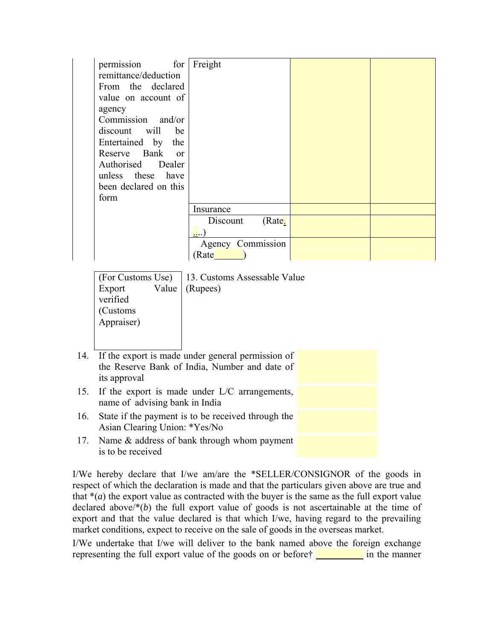| permission for        | Freight            |  |
|-----------------------|--------------------|--|
| remittance/deduction  |                    |  |
| From the declared     |                    |  |
| value on account of   |                    |  |
| agency                |                    |  |
| Commission and/or     |                    |  |
| discount will be      |                    |  |
| Entertained by the    |                    |  |
| Reserve Bank or       |                    |  |
| Authorised Dealer     |                    |  |
| unless these have     |                    |  |
| been declared on this |                    |  |
| form                  |                    |  |
|                       | Insurance          |  |
|                       | Discount<br>(Rate. |  |
|                       |                    |  |
|                       | Agency Commission  |  |
|                       | Rate               |  |

(For Customs Use) 13. Customs Assessable Value Export Value verified (Rupees) (Customs Appraiser)

- 14. If the export is made under general permission of the Reserve Bank of India, Number and date of its approval 15. If the export is made under L/C arrangements, name of advising bank in India 16. State if the payment is to be received through the
- Asian Clearing Union: \*Yes/No 17. Name & address of bank through whom payment is to be received

I/We hereby declare that I/we am/are the \*SELLER/CONSIGNOR of the goods in respect of which the declaration is made and that the particulars given above are true and that  $*(a)$  the export value as contracted with the buyer is the same as the full export value declared above/\*(*b*) the full export value of goods is not ascertainable at the time of export and that the value declared is that which I/we, having regard to the prevailing market conditions, expect to receive on the sale of goods in the overseas market.

I/We undertake that I/we will deliver to the bank named above the foreign exchange representing the full export value of the goods on or before  $\frac{1}{\sqrt{1-\frac{1}{\sqrt{1-\frac{1}{\sqrt{1-\frac{1}{\sqrt{1-\frac{1}{\sqrt{1-\frac{1}{\sqrt{1-\frac{1}{\sqrt{1-\frac{1}{\sqrt{1-\frac{1}{\sqrt{1-\frac{1}{\sqrt{1-\frac{1}{\sqrt{1-\frac{1}{\sqrt{1-\frac{1}{\sqrt{1-\frac{1}{\sqrt{1-\frac{1}{\sqrt{1-\frac{1}{\sqrt{1-\frac{1}{\sqrt{1-\frac{1}{\$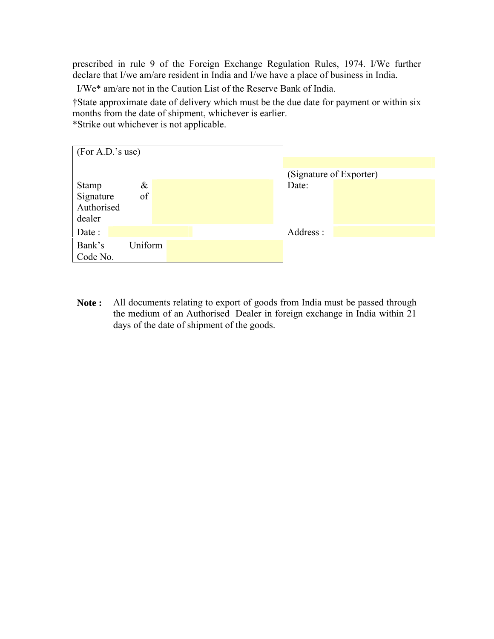prescribed in rule 9 of the Foreign Exchange Regulation Rules, 1974. I/We further declare that I/we am/are resident in India and I/we have a place of business in India.

I/We\* am/are not in the Caution List of the Reserve Bank of India.

†State approximate date of delivery which must be the due date for payment or within six months from the date of shipment, whichever is earlier.

\*Strike out whichever is not applicable.



**Note :** All documents relating to export of goods from India must be passed through the medium of an Authorised Dealer in foreign exchange in India within 21 days of the date of shipment of the goods.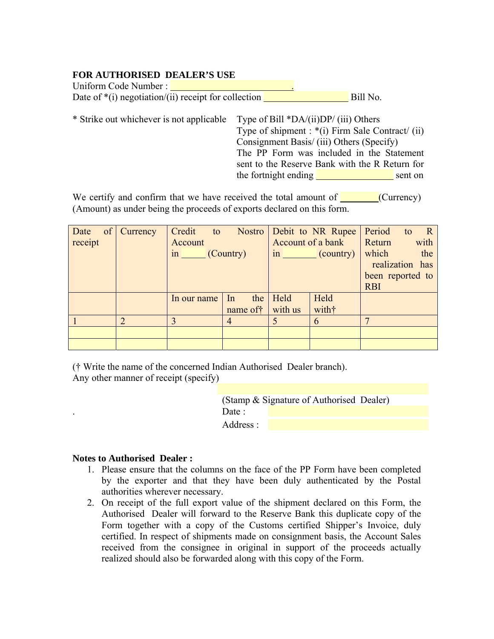## **FOR AUTHORISED DEALER'S USE**

| Uniform Code Number:                                   |          |
|--------------------------------------------------------|----------|
| Date of $*(i)$ negotiation/(ii) receipt for collection | Bill No. |

\* Strike out whichever is not applicable Type of Bill \*DA/(ii)DP/ (iii) Others Type of shipment : \*(i) Firm Sale Contract/ (ii) Consignment Basis/ (iii) Others (Specify) The PP Form was included in the Statement sent to the Reserve Bank with the R Return for the fortnight ending sent on

We certify and confirm that we have received the total amount of  $\Box$  (Currency) (Amount) as under being the proceeds of exports declared on this form.

| Date of Currency |   | Credit to Nostro Debit to NR Rupee |                |         |                   | Period to        | $\overline{R}$  |
|------------------|---|------------------------------------|----------------|---------|-------------------|------------------|-----------------|
| receipt          |   | Account                            |                |         | Account of a bank | Return           | with            |
|                  |   | in (Country)                       |                |         | $\sin$ (country)  | which            | the             |
|                  |   |                                    |                |         |                   |                  | realization has |
|                  |   |                                    |                |         |                   | been reported to |                 |
|                  |   |                                    |                |         |                   | <b>RBI</b>       |                 |
|                  |   | In our name                        | the<br>In      | Held    | Held              |                  |                 |
|                  |   |                                    | name of t      | with us | witht             |                  |                 |
|                  | ∍ |                                    | $\overline{4}$ | 5       | 6                 |                  |                 |
|                  |   |                                    |                |         |                   |                  |                 |
|                  |   |                                    |                |         |                   |                  |                 |

(† Write the name of the concerned Indian Authorised Dealer branch).

Any other manner of receipt (specify)

(Stamp & Signature of Authorised Dealer) Date · Address :

## **Notes to Authorised Dealer :**

- 1. Please ensure that the columns on the face of the PP Form have been completed by the exporter and that they have been duly authenticated by the Postal authorities wherever necessary.
- 2. On receipt of the full export value of the shipment declared on this Form, the Authorised Dealer will forward to the Reserve Bank this duplicate copy of the Form together with a copy of the Customs certified Shipper's Invoice, duly certified. In respect of shipments made on consignment basis, the Account Sales received from the consignee in original in support of the proceeds actually realized should also be forwarded along with this copy of the Form.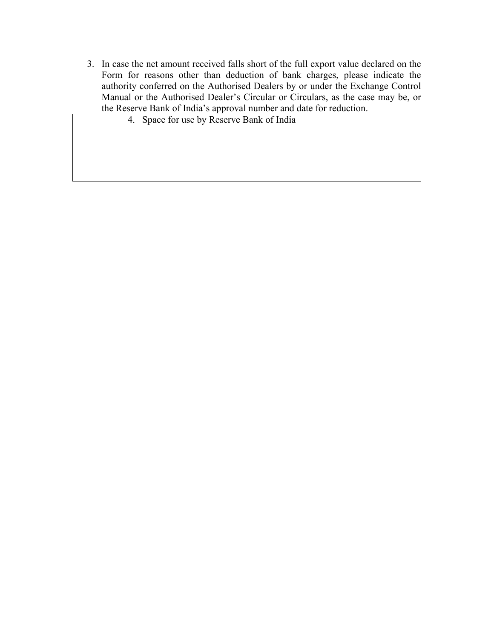- 3. In case the net amount received falls short of the full export value declared on the Form for reasons other than deduction of bank charges, please indicate the authority conferred on the Authorised Dealers by or under the Exchange Control Manual or the Authorised Dealer's Circular or Circulars, as the case may be, or the Reserve Bank of India's approval number and date for reduction.
	- 4. Space for use by Reserve Bank of India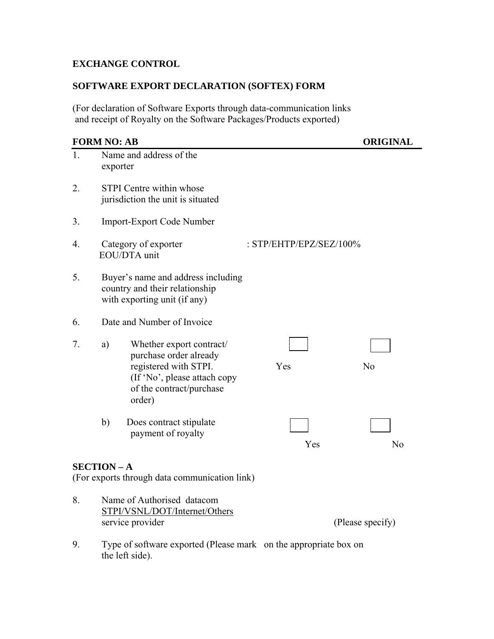# **EXCHANGE CONTROL**

# **SOFTWARE EXPORT DECLARATION (SOFTEX) FORM**

(For declaration of Software Exports through data-communication links and receipt of Royalty on the Software Packages/Products exported)

# **FORM NO: AB ORIGINAL** 1. Name and address of the exporter 2. STPI Centre within whose jurisdiction the unit is situated 3. Import-Export Code Number 4. Category of exporter : STP/EHTP/EPZ/SEZ/100% EOU/DTA unit 5. Buyer's name and address including country and their relationship with exporting unit (if any) 6. Date and Number of Invoice 7. a) Whether export contract/ purchase order already registered with STPI.  $Y$ es No (If 'No', please attach copy of the contract/purchase order) b) Does contract stipulate payment of royalty Yes No **SECTION – A**  (For exports through data communication link) 8. Name of Authorised datacom STPI/VSNL/DOT/Internet/Others service provider (Please specify)

9. Type of software exported (Please mark on the appropriate box on the left side).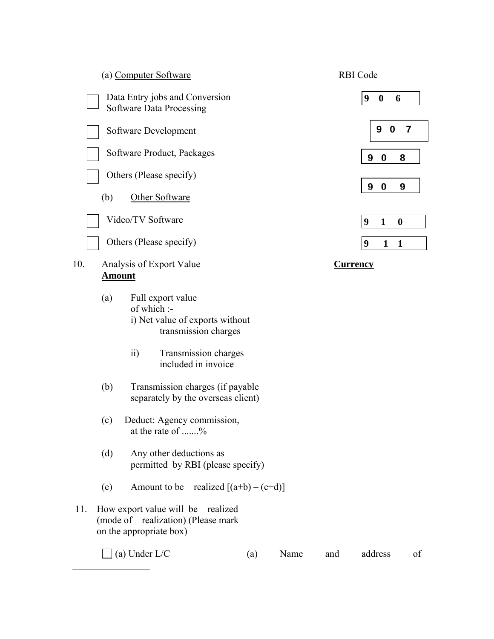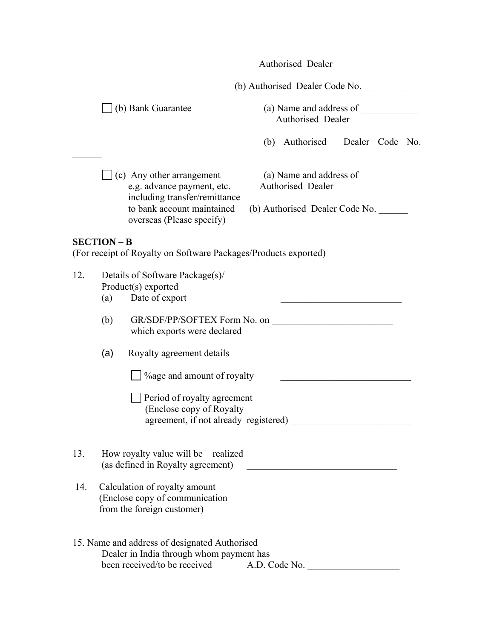|     |                    |                                                                                                                                                            |               | Authorised Dealer                                                                     |  |  |
|-----|--------------------|------------------------------------------------------------------------------------------------------------------------------------------------------------|---------------|---------------------------------------------------------------------------------------|--|--|
|     |                    |                                                                                                                                                            |               | (b) Authorised Dealer Code No.                                                        |  |  |
|     |                    | (b) Bank Guarantee                                                                                                                                         |               | Authorised Dealer                                                                     |  |  |
|     |                    |                                                                                                                                                            | (b)           | Authorised Dealer Code No.                                                            |  |  |
|     |                    | $\int$ (c) Any other arrangement<br>e.g. advance payment, etc.<br>including transfer/remittance<br>to bank account maintained<br>overseas (Please specify) |               | (a) Name and address of<br><b>Authorised Dealer</b><br>(b) Authorised Dealer Code No. |  |  |
|     | <b>SECTION - B</b> | (For receipt of Royalty on Software Packages/Products exported)                                                                                            |               |                                                                                       |  |  |
| 12. | (a)                | Details of Software Package(s)/<br>Product(s) exported<br>Date of export                                                                                   |               |                                                                                       |  |  |
|     | (b)                | GR/SDF/PP/SOFTEX Form No. on<br>which exports were declared                                                                                                |               |                                                                                       |  |  |
|     | (a)                | Royalty agreement details                                                                                                                                  |               |                                                                                       |  |  |
|     |                    | % % % % % % age and amount of royalty                                                                                                                      |               |                                                                                       |  |  |
|     |                    | Period of royalty agreement<br>(Enclose copy of Royalty<br>agreement, if not already registered)                                                           |               |                                                                                       |  |  |
| 13. |                    | How royalty value will be realized<br>(as defined in Royalty agreement)                                                                                    |               |                                                                                       |  |  |
| 14. |                    | Calculation of royalty amount<br>(Enclose copy of communication)<br>from the foreign customer)                                                             |               |                                                                                       |  |  |
|     |                    | 15. Name and address of designated Authorised<br>Dealer in India through whom payment has<br>been received/to be received                                  | A.D. Code No. |                                                                                       |  |  |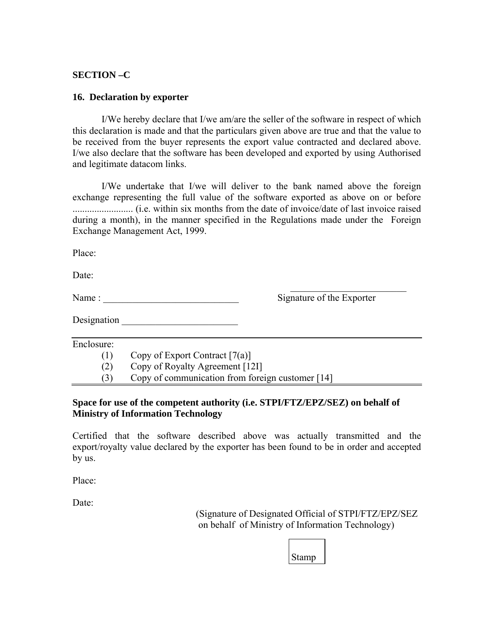## **SECTION –C**

#### **16. Declaration by exporter**

 I/We hereby declare that I/we am/are the seller of the software in respect of which this declaration is made and that the particulars given above are true and that the value to be received from the buyer represents the export value contracted and declared above. I/we also declare that the software has been developed and exported by using Authorised and legitimate datacom links.

 I/We undertake that I/we will deliver to the bank named above the foreign exchange representing the full value of the software exported as above on or before ......................... (i.e. within six months from the date of invoice/date of last invoice raised during a month), in the manner specified in the Regulations made under the Foreign Exchange Management Act, 1999.

 $\mathcal{L}_\text{max}$  and  $\mathcal{L}_\text{max}$  and  $\mathcal{L}_\text{max}$  and  $\mathcal{L}_\text{max}$  and  $\mathcal{L}_\text{max}$  and  $\mathcal{L}_\text{max}$ 

Place:

Date<sup>-</sup>

Name : \_\_\_\_\_\_\_\_\_\_\_\_\_\_\_\_\_\_\_\_\_\_\_\_\_\_\_\_ Signature of the Exporter

Designation  $\Box$ 

Enclosure:

(1) Copy of Export Contract  $[7(a)]$ 

(2) Copy of Royalty Agreement [12I]

(3) Copy of communication from foreign customer [14]

## **Space for use of the competent authority (i.e. STPI/FTZ/EPZ/SEZ) on behalf of Ministry of Information Technology**

Certified that the software described above was actually transmitted and the export/royalty value declared by the exporter has been found to be in order and accepted by us.

Place:

Date:

 (Signature of Designated Official of STPI/FTZ/EPZ/SEZ on behalf of Ministry of Information Technology)

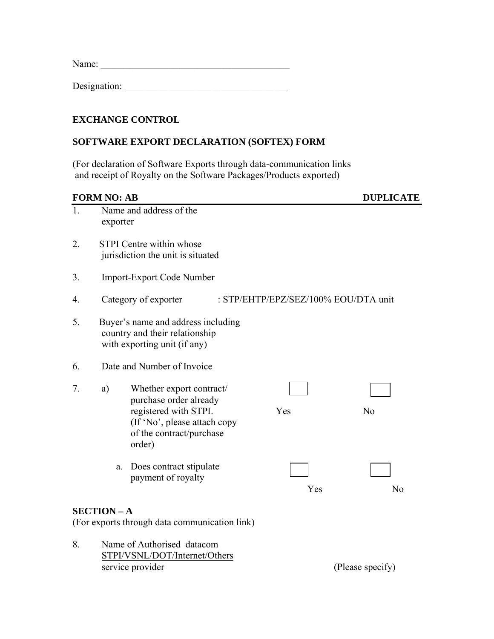Name: \_\_\_\_\_\_\_\_\_\_\_\_\_\_\_\_\_\_\_\_\_\_\_\_\_\_\_\_\_\_\_\_\_\_\_\_\_\_\_

Designation: \_\_\_\_\_\_\_\_\_\_\_\_\_\_\_\_\_\_\_\_\_\_\_\_\_\_\_\_\_\_\_\_\_\_

# **EXCHANGE CONTROL**

# **SOFTWARE EXPORT DECLARATION (SOFTEX) FORM**

(For declaration of Software Exports through data-communication links and receipt of Royalty on the Software Packages/Products exported)

# **FORM NO: AB DUPLICATE**

| 1. | exporter                                                                                             | Name and address of the                                                                                                                           |  |                                      |                  |  |
|----|------------------------------------------------------------------------------------------------------|---------------------------------------------------------------------------------------------------------------------------------------------------|--|--------------------------------------|------------------|--|
| 2. | <b>STPI</b> Centre within whose<br>jurisdiction the unit is situated                                 |                                                                                                                                                   |  |                                      |                  |  |
| 3. |                                                                                                      | <b>Import-Export Code Number</b>                                                                                                                  |  |                                      |                  |  |
| 4. |                                                                                                      | Category of exporter                                                                                                                              |  | : STP/EHTP/EPZ/SEZ/100% EOU/DTA unit |                  |  |
| 5. | Buyer's name and address including<br>country and their relationship<br>with exporting unit (if any) |                                                                                                                                                   |  |                                      |                  |  |
| 6. |                                                                                                      | Date and Number of Invoice                                                                                                                        |  |                                      |                  |  |
| 7. | a)                                                                                                   | Whether export contract/<br>purchase order already<br>registered with STPI.<br>(If 'No', please attach copy<br>of the contract/purchase<br>order) |  | Yes                                  | N <sub>o</sub>   |  |
|    | a.                                                                                                   | Does contract stipulate<br>payment of royalty                                                                                                     |  | Yes                                  | N <sub>o</sub>   |  |
|    | <b>SECTION-A</b>                                                                                     | (For exports through data communication link)                                                                                                     |  |                                      |                  |  |
| 8. |                                                                                                      | Name of Authorised datacom<br>STPI/VSNL/DOT/Internet/Others<br>service provider                                                                   |  |                                      | (Please specify) |  |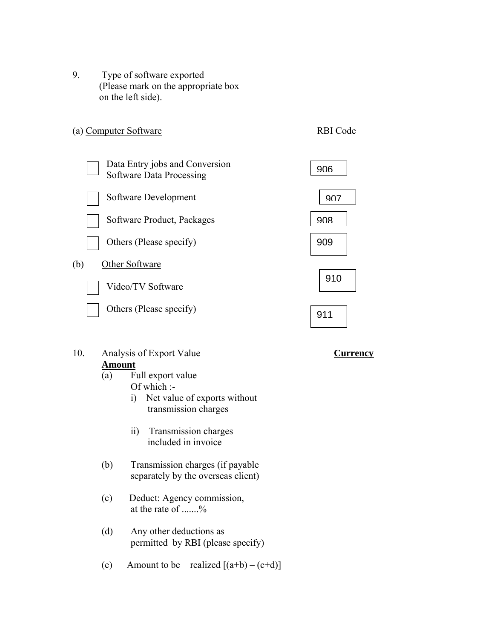9. Type of software exported (Please mark on the appropriate box on the left side).



- 10. Analysis of Export Value **Currency Amount**
	- (a) Full export value
		- Of which :-
		- i) Net value of exports without transmission charges
		- ii) Transmission charges included in invoice
	- (b) Transmission charges (if payable separately by the overseas client)
	- (c) Deduct: Agency commission, at the rate of .......%
	- (d) Any other deductions as permitted by RBI (please specify)
	- (e) Amount to be realized  $[(a+b)-(c+d)]$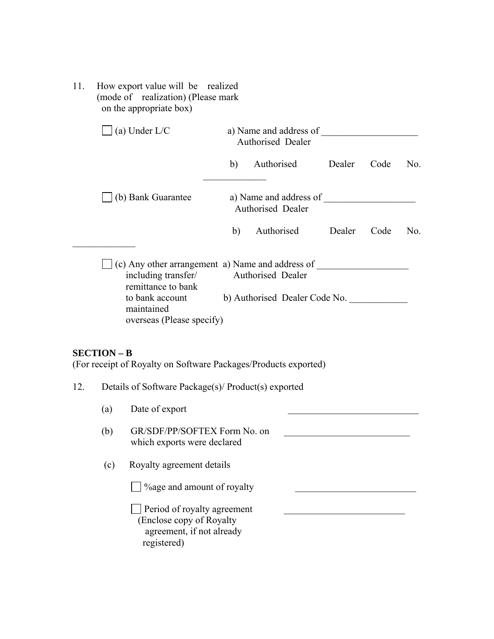11. How export value will be realized (mode of realization) (Please mark on the appropriate box)

|                    | (a) Under $L/C$    |                                                                                                                                                                    | a) Name and address of<br>Authorised Dealer |                                                    |        |      |     |
|--------------------|--------------------|--------------------------------------------------------------------------------------------------------------------------------------------------------------------|---------------------------------------------|----------------------------------------------------|--------|------|-----|
|                    |                    |                                                                                                                                                                    | b)                                          | Authorised                                         | Dealer | Code | No. |
| (b) Bank Guarantee |                    |                                                                                                                                                                    | a) Name and address of<br>Authorised Dealer |                                                    |        |      |     |
|                    |                    |                                                                                                                                                                    | b)                                          | Authorised                                         | Dealer | Code | No. |
|                    |                    | $\Box$ (c) Any other arrangement a) Name and address of<br>including transfer/<br>remittance to bank<br>to bank account<br>maintained<br>overseas (Please specify) |                                             | Authorised Dealer<br>b) Authorised Dealer Code No. |        |      |     |
|                    | <b>SECTION - B</b> | (For receipt of Royalty on Software Packages/Products exported)                                                                                                    |                                             |                                                    |        |      |     |
| 12.                |                    | Details of Software Package(s)/ Product(s) exported                                                                                                                |                                             |                                                    |        |      |     |
|                    | (a)                | Date of export                                                                                                                                                     |                                             |                                                    |        |      |     |
|                    | (b)                | GR/SDF/PP/SOFTEX Form No. on<br>which exports were declared                                                                                                        |                                             |                                                    |        |      |     |
|                    | (c)                | Royalty agreement details                                                                                                                                          |                                             |                                                    |        |      |     |
|                    |                    |                                                                                                                                                                    |                                             |                                                    |        |      |     |
|                    |                    | Period of royalty agreement                                                                                                                                        |                                             |                                                    |        |      |     |

 (Enclose copy of Royalty agreement, if not already registered)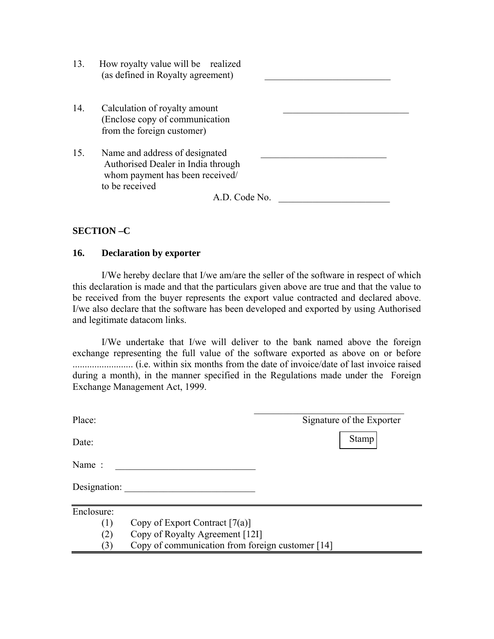| 13. | How royalty value will be realized<br>(as defined in Royalty agreement)                                                                    |
|-----|--------------------------------------------------------------------------------------------------------------------------------------------|
| 14. | Calculation of royalty amount<br>(Enclose copy of communication)<br>from the foreign customer)                                             |
| 15. | Name and address of designated<br>Authorised Dealer in India through<br>whom payment has been received/<br>to be received<br>A.D. Code No. |

## **SECTION –C**

## **16. Declaration by exporter**

 I/We hereby declare that I/we am/are the seller of the software in respect of which this declaration is made and that the particulars given above are true and that the value to be received from the buyer represents the export value contracted and declared above. I/we also declare that the software has been developed and exported by using Authorised and legitimate datacom links.

 I/We undertake that I/we will deliver to the bank named above the foreign exchange representing the full value of the software exported as above on or before ......................... (i.e. within six months from the date of invoice/date of last invoice raised during a month), in the manner specified in the Regulations made under the Foreign Exchange Management Act, 1999.

| Place:       |                                                  | Signature of the Exporter |
|--------------|--------------------------------------------------|---------------------------|
| Date:        |                                                  | <b>Stamp</b>              |
| Name:        |                                                  |                           |
| Designation: |                                                  |                           |
| Enclosure:   |                                                  |                           |
| (1)          | Copy of Export Contract $[7(a)]$                 |                           |
| (2)          | Copy of Royalty Agreement [121]                  |                           |
| (3)          | Copy of communication from foreign customer [14] |                           |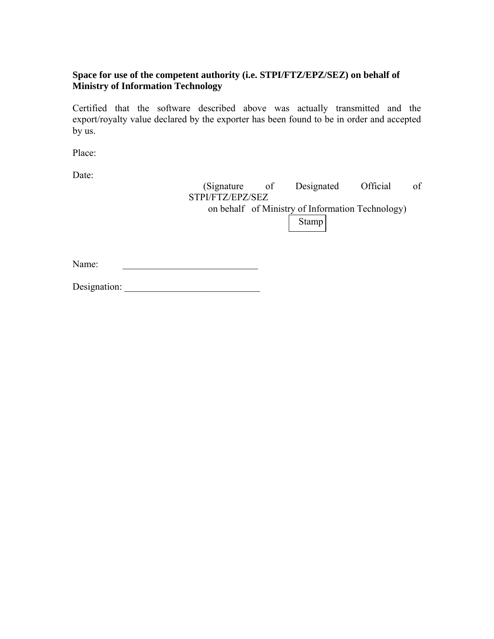# **Space for use of the competent authority (i.e. STPI/FTZ/EPZ/SEZ) on behalf of Ministry of Information Technology**

Certified that the software described above was actually transmitted and the export/royalty value declared by the exporter has been found to be in order and accepted by us.

Place:

Date:

 (Signature of Designated Official of STPI/FTZ/EPZ/SEZ on behalf of Ministry of Information Technology) Stamp

Name:

Designation: \_\_\_\_\_\_\_\_\_\_\_\_\_\_\_\_\_\_\_\_\_\_\_\_\_\_\_\_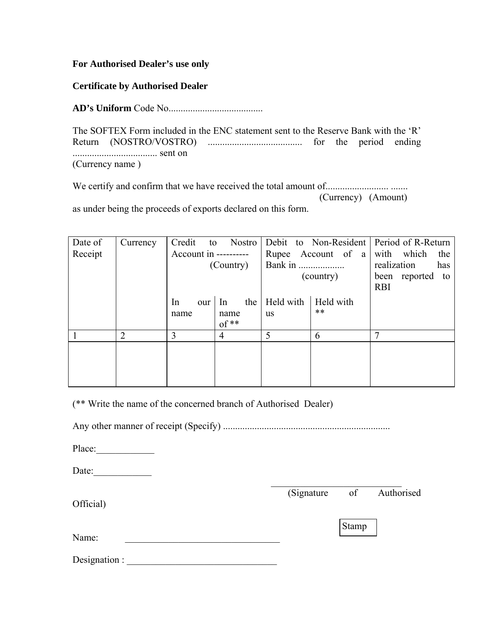## **For Authorised Dealer's use only**

**Certificate by Authorised Dealer** 

**AD's Uniform** Code No.......................................

The SOFTEX Form included in the ENC statement sent to the Reserve Bank with the 'R' Return (NOSTRO/VOSTRO) ....................................... for the period ending ................................... sent on (Currency name )

We certify and confirm that we have received the total amount of.......................... ....... (Currency) (Amount) as under being the proceeds of exports declared on this form.

| Date of | Currency       | Credit<br>to          | Nostro                                |                        |                    | Debit to Non-Resident Period of R-Return |
|---------|----------------|-----------------------|---------------------------------------|------------------------|--------------------|------------------------------------------|
| Receipt |                | Account in ---------- |                                       | Rupee                  | Account of a       | with which<br>the                        |
|         |                |                       | (Country)                             | Bank in                |                    | realization<br>has                       |
|         |                |                       |                                       | (country)              |                    | been reported<br>to<br><b>RBI</b>        |
|         |                | In<br>our<br>name     | the<br>In<br>name<br>$\mathrm{of}$ ** | Held with<br><b>us</b> | Held with<br>$***$ |                                          |
|         | $\overline{2}$ | 3                     | 4                                     | 5                      | 6                  | 7                                        |
|         |                |                       |                                       |                        |                    |                                          |

(\*\* Write the name of the concerned branch of Authorised Dealer)

Any other manner of receipt (Specify) .....................................................................

Place:

Date:  $\mathcal{L}_\mathcal{L} = \{ \mathcal{L}_\mathcal{L} \mid \mathcal{L}_\mathcal{L} \in \mathcal{L}_\mathcal{L} \}$ 

(Signature of Authorised

Official)

Stamp

Name:

Designation :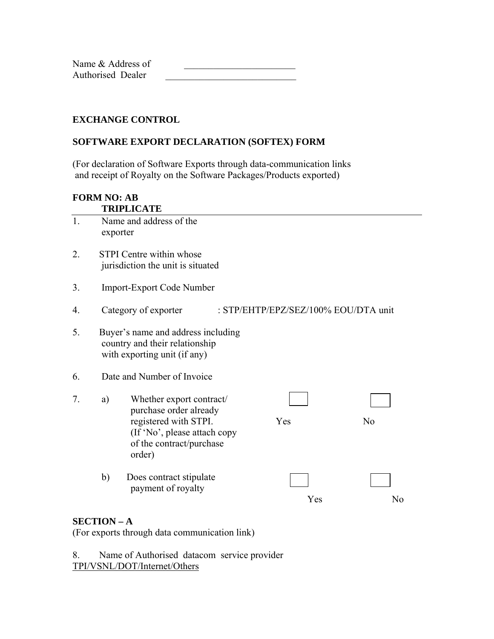Name & Address of Authorised Dealer

# **EXCHANGE CONTROL**

# **SOFTWARE EXPORT DECLARATION (SOFTEX) FORM**

(For declaration of Software Exports through data-communication links and receipt of Royalty on the Software Packages/Products exported)

#### **FORM NO: AB TRIPLICATE**

| 1. |                                                                      | Name and address of the                                                                                                                           |  |                                      |    |  |
|----|----------------------------------------------------------------------|---------------------------------------------------------------------------------------------------------------------------------------------------|--|--------------------------------------|----|--|
|    | exporter                                                             |                                                                                                                                                   |  |                                      |    |  |
| 2. | <b>STPI</b> Centre within whose<br>jurisdiction the unit is situated |                                                                                                                                                   |  |                                      |    |  |
| 3. | <b>Import-Export Code Number</b>                                     |                                                                                                                                                   |  |                                      |    |  |
| 4. |                                                                      | Category of exporter                                                                                                                              |  | : STP/EHTP/EPZ/SEZ/100% EOU/DTA unit |    |  |
| 5. |                                                                      | Buyer's name and address including<br>country and their relationship<br>with exporting unit (if any)                                              |  |                                      |    |  |
| 6. |                                                                      | Date and Number of Invoice                                                                                                                        |  |                                      |    |  |
| 7. | a)                                                                   | Whether export contract/<br>purchase order already<br>registered with STPI.<br>(If 'No', please attach copy<br>of the contract/purchase<br>order) |  | Yes                                  | No |  |
|    | b)                                                                   | Does contract stipulate<br>payment of royalty                                                                                                     |  | Yes                                  | No |  |

# **SECTION – A**

(For exports through data communication link)

8. Name of Authorised datacom service provider TPI/VSNL/DOT/Internet/Others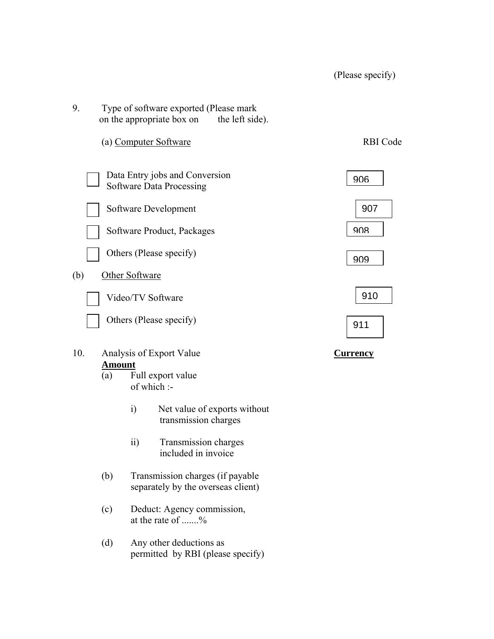| 9.  | Type of software exported (Please mark<br>on the appropriate box on<br>the left side). |                 |
|-----|----------------------------------------------------------------------------------------|-----------------|
|     | (a) Computer Software                                                                  | <b>RBI</b> Code |
|     | Data Entry jobs and Conversion<br><b>Software Data Processing</b>                      | 906             |
|     | Software Development                                                                   | 907             |
|     | Software Product, Packages                                                             | 908             |
|     | Others (Please specify)                                                                | 909             |
| (b) | Other Software                                                                         |                 |
|     | Video/TV Software                                                                      | 910             |
|     | Others (Please specify)                                                                | 911             |
| 10. | Analysis of Export Value                                                               | <b>Currency</b> |
|     | <b>Amount</b><br>Full export value<br>(a)<br>of which :-                               |                 |
|     | Net value of exports without<br>$\ddot{1}$<br>transmission charges                     |                 |
|     | $\overline{ii}$<br>Transmission charges<br>included in invoice                         |                 |
|     | (b)<br>Transmission charges (if payable<br>separately by the overseas client)          |                 |
|     | (c)<br>Deduct: Agency commission,<br>at the rate of %                                  |                 |
|     | Any other deductions as<br>(d)<br>permitted by RBI (please specify)                    |                 |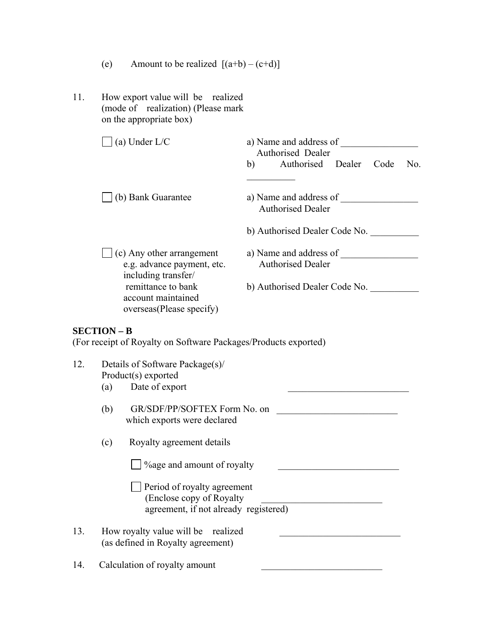- (e) Amount to be realized  $[(a+b)-(c+d)]$
- 11. How export value will be realized (mode of realization) (Please mark on the appropriate  $box)$

| (a) Under $L/C$                                                                | a) Name and address of<br>Authorised Dealer        |  |  |  |
|--------------------------------------------------------------------------------|----------------------------------------------------|--|--|--|
|                                                                                | Authorised Dealer<br>Code<br>No.<br>b)             |  |  |  |
| (b) Bank Guarantee                                                             | a) Name and address of<br><b>Authorised Dealer</b> |  |  |  |
|                                                                                | b) Authorised Dealer Code No.                      |  |  |  |
| (c) Any other arrangement<br>e.g. advance payment, etc.<br>including transfer/ | a) Name and address of<br><b>Authorised Dealer</b> |  |  |  |
| remittance to bank<br>account maintained<br>overseas(Please specify)           | b) Authorised Dealer Code No.                      |  |  |  |

# **SECTION – B**

(For receipt of Royalty on Software Packages/Products exported)

| 12. | Details of Software Package(s)/<br>Product(s) exported                                            |  |  |
|-----|---------------------------------------------------------------------------------------------------|--|--|
|     | Date of export<br>(a)                                                                             |  |  |
|     | GR/SDF/PP/SOFTEX Form No. on<br>(b)<br>which exports were declared                                |  |  |
|     | Royalty agreement details<br>(c)                                                                  |  |  |
|     | <sup>2</sup> / <sub>o</sub> age and amount of royalty                                             |  |  |
|     | Period of royalty agreement<br>(Enclose copy of Royalty)<br>agreement, if not already registered) |  |  |
| 13. | How royalty value will be realized<br>(as defined in Royalty agreement)                           |  |  |
| 14. | Calculation of royalty amount                                                                     |  |  |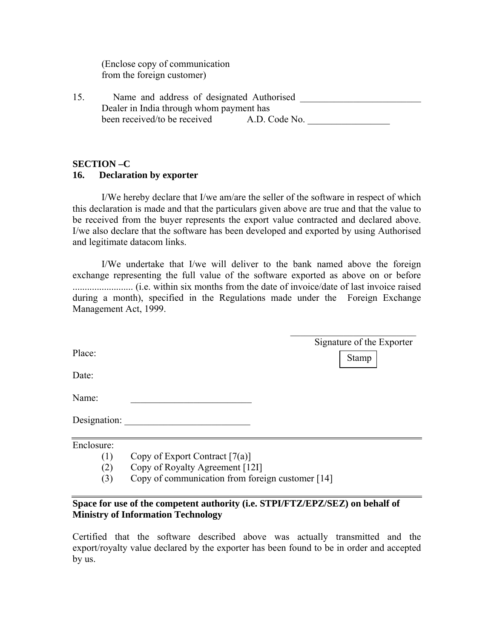(Enclose copy of communication from the foreign customer)

| 15 | Name and address of designated Authorised |               |  |
|----|-------------------------------------------|---------------|--|
|    | Dealer in India through whom payment has  |               |  |
|    | been received/to be received              | A.D. Code No. |  |

## **SECTION –C**

## **16. Declaration by exporter**

 I/We hereby declare that I/we am/are the seller of the software in respect of which this declaration is made and that the particulars given above are true and that the value to be received from the buyer represents the export value contracted and declared above. I/we also declare that the software has been developed and exported by using Authorised and legitimate datacom links.

 I/We undertake that I/we will deliver to the bank named above the foreign exchange representing the full value of the software exported as above on or before ......................... (i.e. within six months from the date of invoice/date of last invoice raised during a month), specified in the Regulations made under the Foreign Exchange Management Act, 1999.

| Place:<br>Date:<br>Name: | Signature of the Exporter<br><b>Stamp</b>        |
|--------------------------|--------------------------------------------------|
| Designation:             |                                                  |
| Enclosure:               |                                                  |
| (1)                      | Copy of Export Contract $[7(a)]$                 |
| (2)                      | Copy of Royalty Agreement [121]                  |
| (3)                      | Copy of communication from foreign customer [14] |

## **Space for use of the competent authority (i.e. STPI/FTZ/EPZ/SEZ) on behalf of Ministry of Information Technology**

Certified that the software described above was actually transmitted and the export/royalty value declared by the exporter has been found to be in order and accepted by us.